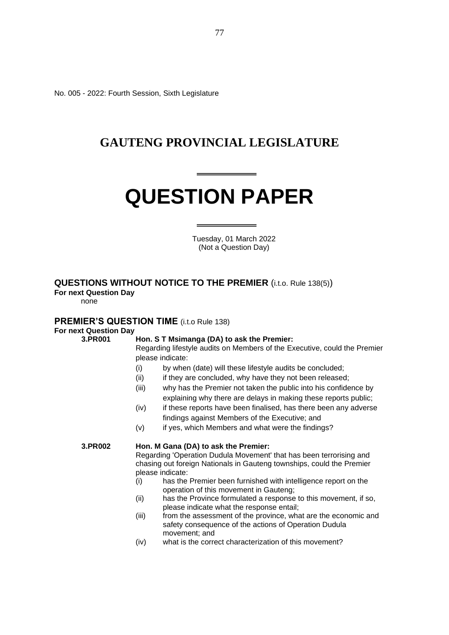No. 005 - 2022: Fourth Session, Sixth Legislature

### **GAUTENG PROVINCIAL LEGISLATURE**

# **QUESTION PAPER**

 Tuesday, 01 March 2022 (Not a Question Day)

#### **QUESTIONS WITHOUT NOTICE TO THE PREMIER** (i.t.o. Rule 138(5))

**For next Question Day**

none

#### **PREMIER'S QUESTION TIME** (i.t.o Rule 138)

#### **For next Question Day**

#### **3.PR001 Hon. S T Msimanga (DA) to ask the Premier:**

Regarding lifestyle audits on Members of the Executive, could the Premier please indicate:

- (i) by when (date) will these lifestyle audits be concluded;
- (ii) if they are concluded, why have they not been released;
- (iii) why has the Premier not taken the public into his confidence by explaining why there are delays in making these reports public;
- (iv) if these reports have been finalised, has there been any adverse findings against Members of the Executive; and
- (v) if yes, which Members and what were the findings?

#### **3.PR002 Hon. M Gana (DA) to ask the Premier:**

Regarding 'Operation Dudula Movement' that has been terrorising and chasing out foreign Nationals in Gauteng townships, could the Premier please indicate:

- (i) has the Premier been furnished with intelligence report on the operation of this movement in Gauteng;
- (ii) has the Province formulated a response to this movement, if so, please indicate what the response entail;
- (iii) from the assessment of the province, what are the economic and safety consequence of the actions of Operation Dudula movement; and
- (iv) what is the correct characterization of this movement?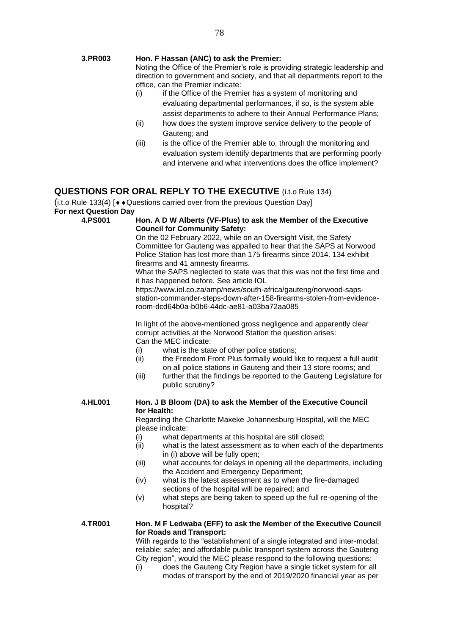#### **3.PR003 Hon. F Hassan (ANC) to ask the Premier:**

Noting the Office of the Premier's role is providing strategic leadership and direction to government and society, and that all departments report to the office, can the Premier indicate:

- (i) if the Office of the Premier has a system of monitoring and evaluating departmental performances, if so, is the system able assist departments to adhere to their Annual Performance Plans;
- (ii) how does the system improve service delivery to the people of Gauteng; and
- (iii) is the office of the Premier able to, through the monitoring and evaluation system identify departments that are performing poorly and intervene and what interventions does the office implement?

#### **QUESTIONS FOR ORAL REPLY TO THE EXECUTIVE** (i.t.o Rule 134)

(i.t.o Rule 133(4)  $\blacktriangleright\blacktriangleright$  Questions carried over from the previous Question Day] **For next Question Day**

#### **4.PS001 Hon. A D W Alberts (VF-Plus) to ask the Member of the Executive Council for Community Safety:**

On the 02 February 2022, while on an Oversight Visit, the Safety Committee for Gauteng was appalled to hear that the SAPS at Norwood Police Station has lost more than 175 firearms since 2014. 134 exhibit firearms and 41 amnesty firearms.

What the SAPS neglected to state was that this was not the first time and it has happened before. See article IOL

https://www.iol.co.za/amp/news/south-africa/gauteng/norwood-sapsstation-commander-steps-down-after-158-firearms-stolen-from-evidenceroom-dcd64b0a-b0b6-44dc-ae81-a03ba72aa085

In light of the above-mentioned gross negligence and apparently clear corrupt activities at the Norwood Station the question arises: Can the MEC indicate:

- (i) what is the state of other police stations;<br>(ii) the Freedom Front Plus formally would li
- the Freedom Front Plus formally would like to request a full audit on all police stations in Gauteng and their 13 store rooms; and
- (iii) further that the findings be reported to the Gauteng Legislature for public scrutiny?

#### **4.HL001 Hon. J B Bloom (DA) to ask the Member of the Executive Council for Health:**

Regarding the Charlotte Maxeke Johannesburg Hospital, will the MEC please indicate:

- (i) what departments at this hospital are still closed;
- (ii) what is the latest assessment as to when each of the departments in (i) above will be fully open;
- (iii) what accounts for delays in opening all the departments, including the Accident and Emergency Department;
- (iv) what is the latest assessment as to when the fire-damaged sections of the hospital will be repaired; and
- (v) what steps are being taken to speed up the full re-opening of the hospital?

#### **4.TR001 Hon. M F Ledwaba (EFF) to ask the Member of the Executive Council for Roads and Transport:**

With regards to the "establishment of a single integrated and inter-modal: reliable; safe; and affordable public transport system across the Gauteng City region", would the MEC please respond to the following questions:

(i) does the Gauteng City Region have a single ticket system for all modes of transport by the end of 2019/2020 financial year as per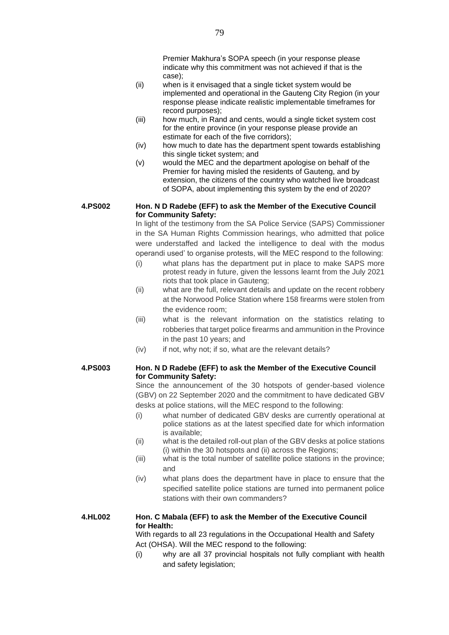- (ii) when is it envisaged that a single ticket system would be implemented and operational in the Gauteng City Region (in your response please indicate realistic implementable timeframes for record purposes);
- (iii) how much, in Rand and cents, would a single ticket system cost for the entire province (in your response please provide an estimate for each of the five corridors);
- (iv) how much to date has the department spent towards establishing this single ticket system; and
- (v) would the MEC and the department apologise on behalf of the Premier for having misled the residents of Gauteng, and by extension, the citizens of the country who watched live broadcast of SOPA, about implementing this system by the end of 2020?

#### **4.PS002 Hon. N D Radebe (EFF) to ask the Member of the Executive Council for Community Safety:**

In light of the testimony from the SA Police Service (SAPS) Commissioner in the SA Human Rights Commission hearings, who admitted that police were understaffed and lacked the intelligence to deal with the modus operandi used' to organise protests, will the MEC respond to the following:

- (i) what plans has the department put in place to make SAPS more protest ready in future, given the lessons learnt from the July 2021 riots that took place in Gauteng;
- (ii) what are the full, relevant details and update on the recent robbery at the Norwood Police Station where 158 firearms were stolen from the evidence room;
- (iii) what is the relevant information on the statistics relating to robberies that target police firearms and ammunition in the Province in the past 10 years; and
- (iv) if not, why not; if so, what are the relevant details?

#### **4.PS003 Hon. N D Radebe (EFF) to ask the Member of the Executive Council for Community Safety:**

Since the announcement of the 30 hotspots of gender-based violence (GBV) on 22 September 2020 and the commitment to have dedicated GBV desks at police stations, will the MEC respond to the following:

- (i) what number of dedicated GBV desks are currently operational at police stations as at the latest specified date for which information is available;
- (ii) what is the detailed roll-out plan of the GBV desks at police stations (i) within the 30 hotspots and (ii) across the Regions;
- (iii) what is the total number of satellite police stations in the province; and
- (iv) what plans does the department have in place to ensure that the specified satellite police stations are turned into permanent police stations with their own commanders?

#### **4.HL002 Hon. C Mabala (EFF) to ask the Member of the Executive Council for Health:**

With regards to all 23 regulations in the Occupational Health and Safety Act (OHSA). Will the MEC respond to the following:

(i) why are all 37 provincial hospitals not fully compliant with health and safety legislation;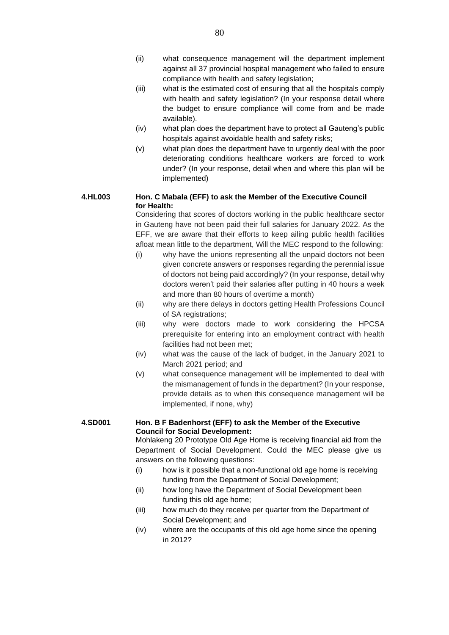- (ii) what consequence management will the department implement against all 37 provincial hospital management who failed to ensure compliance with health and safety legislation;
- (iii) what is the estimated cost of ensuring that all the hospitals comply with health and safety legislation? (In your response detail where the budget to ensure compliance will come from and be made available).
- (iv) what plan does the department have to protect all Gauteng's public hospitals against avoidable health and safety risks;
- (v) what plan does the department have to urgently deal with the poor deteriorating conditions healthcare workers are forced to work under? (In your response, detail when and where this plan will be implemented)

#### **4.HL003 Hon. C Mabala (EFF) to ask the Member of the Executive Council for Health:**

Considering that scores of doctors working in the public healthcare sector in Gauteng have not been paid their full salaries for January 2022. As the EFF, we are aware that their efforts to keep ailing public health facilities afloat mean little to the department, Will the MEC respond to the following:

- (i) why have the unions representing all the unpaid doctors not been given concrete answers or responses regarding the perennial issue of doctors not being paid accordingly? (In your response, detail why doctors weren't paid their salaries after putting in 40 hours a week and more than 80 hours of overtime a month)
- (ii) why are there delays in doctors getting Health Professions Council of SA registrations;
- (iii) why were doctors made to work considering the HPCSA prerequisite for entering into an employment contract with health facilities had not been met;
- (iv) what was the cause of the lack of budget, in the January 2021 to March 2021 period; and
- (v) what consequence management will be implemented to deal with the mismanagement of funds in the department? (In your response, provide details as to when this consequence management will be implemented, if none, why)

#### **4.SD001 Hon. B F Badenhorst (EFF) to ask the Member of the Executive Council for Social Development:**

Mohlakeng 20 Prototype Old Age Home is receiving financial aid from the Department of Social Development. Could the MEC please give us answers on the following questions:

- (i) how is it possible that a non-functional old age home is receiving funding from the Department of Social Development;
- (ii) how long have the Department of Social Development been funding this old age home;
- (iii) how much do they receive per quarter from the Department of Social Development; and
- (iv) where are the occupants of this old age home since the opening in 2012?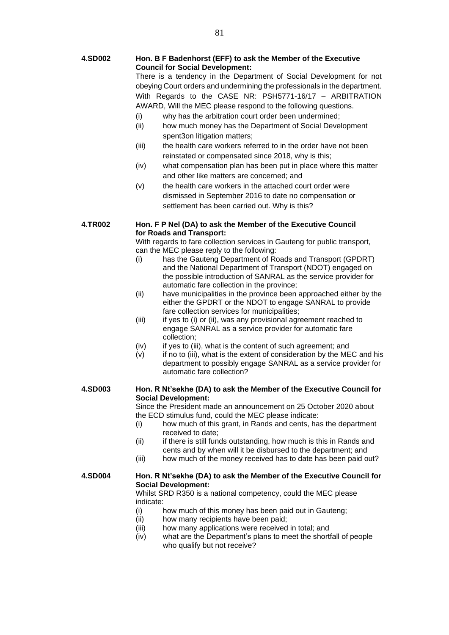#### **4.SD002 Hon. B F Badenhorst (EFF) to ask the Member of the Executive Council for Social Development:**

There is a tendency in the Department of Social Development for not obeying Court orders and undermining the professionals in the department. With Regards to the CASE NR: PSH5771-16/17 – ARBITRATION AWARD, Will the MEC please respond to the following questions.

- (i) why has the arbitration court order been undermined;
- (ii) how much money has the Department of Social Development spent3on litigation matters;
- (iii) the health care workers referred to in the order have not been reinstated or compensated since 2018, why is this;
- (iv) what compensation plan has been put in place where this matter and other like matters are concerned; and
- (v) the health care workers in the attached court order were dismissed in September 2016 to date no compensation or settlement has been carried out. Why is this?

#### **4.TR002 Hon. F P Nel (DA) to ask the Member of the Executive Council for Roads and Transport:**

With regards to fare collection services in Gauteng for public transport, can the MEC please reply to the following:

- (i) has the Gauteng Department of Roads and Transport (GPDRT) and the National Department of Transport (NDOT) engaged on the possible introduction of SANRAL as the service provider for automatic fare collection in the province;
- (ii) have municipalities in the province been approached either by the either the GPDRT or the NDOT to engage SANRAL to provide fare collection services for municipalities;
- (iii) if yes to (i) or (ii), was any provisional agreement reached to engage SANRAL as a service provider for automatic fare collection;
- (iv) if yes to (iii), what is the content of such agreement; and
- (v) if no to (iii), what is the extent of consideration by the MEC and his department to possibly engage SANRAL as a service provider for automatic fare collection?

#### **4.SD003 Hon. R Nt'sekhe (DA) to ask the Member of the Executive Council for Social Development:**

Since the President made an announcement on 25 October 2020 about the ECD stimulus fund, could the MEC please indicate:

- (i) how much of this grant, in Rands and cents, has the department received to date;
- (ii) if there is still funds outstanding, how much is this in Rands and cents and by when will it be disbursed to the department; and
- (iii) how much of the money received has to date has been paid out?

#### **4.SD004 Hon. R Nt'sekhe (DA) to ask the Member of the Executive Council for Social Development:**

Whilst SRD R350 is a national competency, could the MEC please indicate:

- (i) how much of this money has been paid out in Gauteng;
- (ii) how many recipients have been paid;
- (iii) how many applications were received in total; and
- (iv) what are the Department's plans to meet the shortfall of people who qualify but not receive?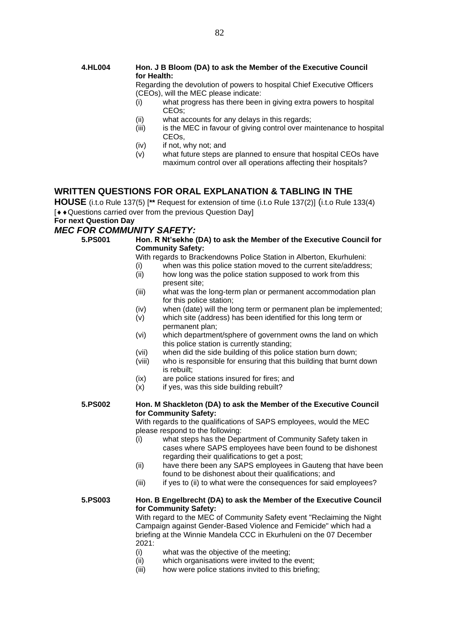#### **4.HL004 Hon. J B Bloom (DA) to ask the Member of the Executive Council for Health:**

Regarding the devolution of powers to hospital Chief Executive Officers (CEOs), will the MEC please indicate:

- (i) what progress has there been in giving extra powers to hospital CEOs;
- (ii) what accounts for any delays in this regards;
- (iii) is the MEC in favour of giving control over maintenance to hospital CEOs,
- (iv) if not, why not; and
- (v) what future steps are planned to ensure that hospital CEOs have maximum control over all operations affecting their hospitals?

#### **WRITTEN QUESTIONS FOR ORAL EXPLANATION & TABLING IN THE**

**HOUSE** (i.t.o Rule 137(5) [**\*\*** Request for extension of time (i.t.o Rule 137(2)] (i.t.o Rule 133(4)  $\sqrt{Q}$  + Questions carried over from the previous Question Day]

#### **For next Question Day**

#### *MEC FOR COMMUNITY SAFETY:*

**5.PS001 Hon. R Nt'sekhe (DA) to ask the Member of the Executive Council for Community Safety:**

With regards to Brackendowns Police Station in Alberton, Ekurhuleni:

- (i) when was this police station moved to the current site/address;
- (ii) how long was the police station supposed to work from this present site;
- (iii) what was the long-term plan or permanent accommodation plan for this police station;
- (iv) when (date) will the long term or permanent plan be implemented;
- (v) which site (address) has been identified for this long term or permanent plan;
- (vi) which department/sphere of government owns the land on which this police station is currently standing;
- (vii) when did the side building of this police station burn down;
- (viii) who is responsible for ensuring that this building that burnt down is rebuilt;
- (ix) are police stations insured for fires; and
- $(x)$  if yes, was this side building rebuilt?

#### **5.PS002 Hon. M Shackleton (DA) to ask the Member of the Executive Council for Community Safety:**

With regards to the qualifications of SAPS employees, would the MEC please respond to the following:

- (i) what steps has the Department of Community Safety taken in cases where SAPS employees have been found to be dishonest regarding their qualifications to get a post;
- (ii) have there been any SAPS employees in Gauteng that have been found to be dishonest about their qualifications; and
- (iii) if yes to (ii) to what were the consequences for said employees?

#### **5.PS003 Hon. B Engelbrecht (DA) to ask the Member of the Executive Council for Community Safety:**

With regard to the MEC of Community Safety event "Reclaiming the Night Campaign against Gender-Based Violence and Femicide" which had a briefing at the Winnie Mandela CCC in Ekurhuleni on the 07 December 2021:

- (i) what was the objective of the meeting;
- (ii) which organisations were invited to the event;
- (iii) how were police stations invited to this briefing;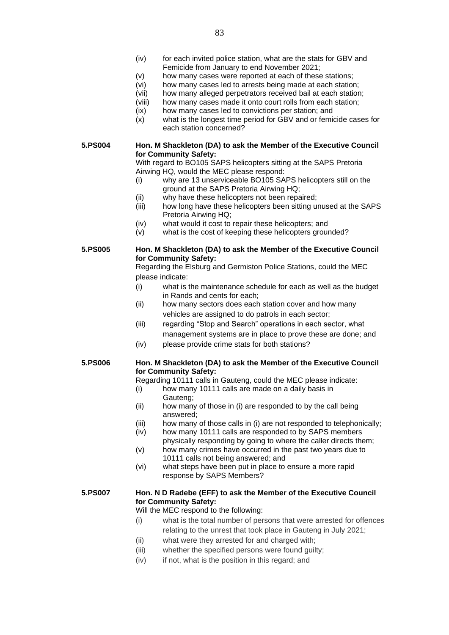- (iv) for each invited police station, what are the stats for GBV and Femicide from January to end November 2021;
- (v) how many cases were reported at each of these stations;
- (vi) how many cases led to arrests being made at each station;
- (vii) how many alleged perpetrators received bail at each station;
- (viii) how many cases made it onto court rolls from each station;
- (ix) how many cases led to convictions per station; and
- (x) what is the longest time period for GBV and or femicide cases for each station concerned?

**5.PS004 Hon. M Shackleton (DA) to ask the Member of the Executive Council for Community Safety:**

> With regard to BO105 SAPS helicopters sitting at the SAPS Pretoria Airwing HQ, would the MEC please respond:

- (i) why are 13 unserviceable BO105 SAPS helicopters still on the ground at the SAPS Pretoria Airwing HQ;
- (ii) why have these helicopters not been repaired;
- (iii) how long have these helicopters been sitting unused at the SAPS Pretoria Airwing HQ;
- (iv) what would it cost to repair these helicopters; and
- $(v)$  what is the cost of keeping these helicopters grounded?

#### **5.PS005 Hon. M Shackleton (DA) to ask the Member of the Executive Council for Community Safety:**

Regarding the Elsburg and Germiston Police Stations, could the MEC please indicate:

- (i) what is the maintenance schedule for each as well as the budget in Rands and cents for each;
- (ii) how many sectors does each station cover and how many vehicles are assigned to do patrols in each sector;
- (iii) regarding "Stop and Search" operations in each sector, what management systems are in place to prove these are done; and
- (iv) please provide crime stats for both stations?

#### **5.PS006 Hon. M Shackleton (DA) to ask the Member of the Executive Council for Community Safety:**

Regarding 10111 calls in Gauteng, could the MEC please indicate:

- (i) how many 10111 calls are made on a daily basis in Gauteng;
- (ii) how many of those in (i) are responded to by the call being answered;
- (iii) how many of those calls in (i) are not responded to telephonically;
- (iv) how many 10111 calls are responded to by SAPS members physically responding by going to where the caller directs them;
- (v) how many crimes have occurred in the past two years due to 10111 calls not being answered; and
- (vi) what steps have been put in place to ensure a more rapid response by SAPS Members?

#### **5.PS007 Hon. N D Radebe (EFF) to ask the Member of the Executive Council for Community Safety:**

#### Will the MEC respond to the following:

- (i) what is the total number of persons that were arrested for offences relating to the unrest that took place in Gauteng in July 2021;
- (ii) what were they arrested for and charged with;
- (iii) whether the specified persons were found guilty;
- (iv) if not, what is the position in this regard; and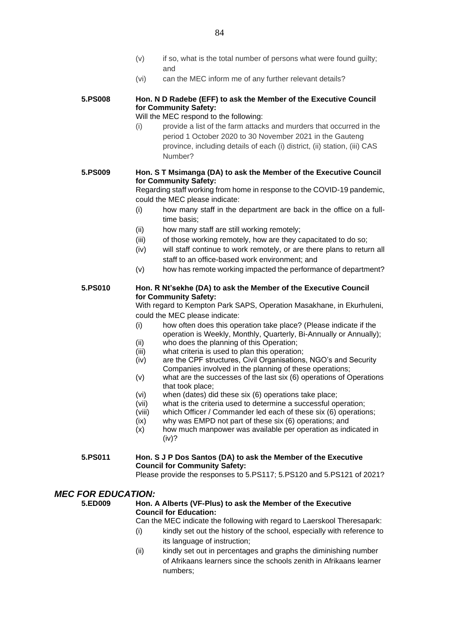- (v) if so, what is the total number of persons what were found guilty; and
- (vi) can the MEC inform me of any further relevant details?

#### **5.PS008 Hon. N D Radebe (EFF) to ask the Member of the Executive Council for Community Safety:**

- Will the MEC respond to the following:
- (i) provide a list of the farm attacks and murders that occurred in the period 1 October 2020 to 30 November 2021 in the Gauteng province, including details of each (i) district, (ii) station, (iii) CAS Number?

#### **5.PS009 Hon. S T Msimanga (DA) to ask the Member of the Executive Council for Community Safety:**

Regarding staff working from home in response to the COVID-19 pandemic, could the MEC please indicate:

- (i) how many staff in the department are back in the office on a fulltime basis;
- (ii) how many staff are still working remotely;
- (iii) of those working remotely, how are they capacitated to do so;
- (iv) will staff continue to work remotely, or are there plans to return all staff to an office-based work environment; and
- (v) how has remote working impacted the performance of department?

#### **5.PS010 Hon. R Nt'sekhe (DA) to ask the Member of the Executive Council for Community Safety:**

With regard to Kempton Park SAPS, Operation Masakhane, in Ekurhuleni, could the MEC please indicate:

- (i) how often does this operation take place? (Please indicate if the operation is Weekly, Monthly, Quarterly, Bi-Annually or Annually); (ii) who does the planning of this Operation;
- (iii) what criteria is used to plan this operation;
- (iv) are the CPF structures, Civil Organisations, NGO's and Security Companies involved in the planning of these operations;
- (v) what are the successes of the last six (6) operations of Operations that took place;
- (vi) when (dates) did these six (6) operations take place;
- (vii) what is the criteria used to determine a successful operation;
- (viii) which Officer / Commander led each of these six (6) operations;
- (ix) why was EMPD not part of these six (6) operations; and
- (x) how much manpower was available per operation as indicated in (iv)?

#### **5.PS011 Hon. S J P Dos Santos (DA) to ask the Member of the Executive Council for Community Safety:**

Please provide the responses to 5.PS117; 5.PS120 and 5.PS121 of 2021?

#### *MEC FOR EDUCATION:*

#### **5.ED009 Hon. A Alberts (VF-Plus) to ask the Member of the Executive Council for Education:**

Can the MEC indicate the following with regard to Laerskool Theresapark:

- (i) kindly set out the history of the school, especially with reference to its language of instruction;
- (ii) kindly set out in percentages and graphs the diminishing number of Afrikaans learners since the schools zenith in Afrikaans learner numbers;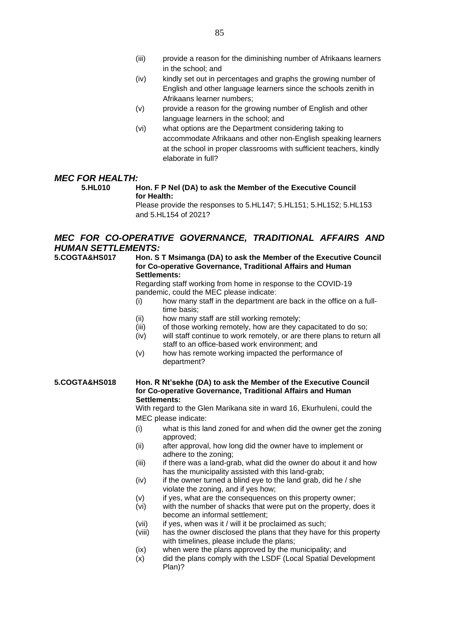- (iv) kindly set out in percentages and graphs the growing number of English and other language learners since the schools zenith in Afrikaans learner numbers;
- (v) provide a reason for the growing number of English and other language learners in the school; and
- (vi) what options are the Department considering taking to accommodate Afrikaans and other non-English speaking learners at the school in proper classrooms with sufficient teachers, kindly elaborate in full?

## *MEC FOR HEALTH:*<br>5.HL010

#### **Hon. F P Nel (DA) to ask the Member of the Executive Council for Health:**

Please provide the responses to 5.HL147; 5.HL151; 5.HL152; 5.HL153 and 5.HL154 of 2021?

#### *MEC FOR CO-OPERATIVE GOVERNANCE, TRADITIONAL AFFAIRS AND HUMAN SETTLEMENTS:*

#### **5.COGTA&HS017 Hon. S T Msimanga (DA) to ask the Member of the Executive Council for Co-operative Governance, Traditional Affairs and Human Settlements:**

Regarding staff working from home in response to the COVID-19 pandemic, could the MEC please indicate:

- (i) how many staff in the department are back in the office on a fulltime basis;
- (ii) how many staff are still working remotely;
- (iii) of those working remotely, how are they capacitated to do so;
- (iv) will staff continue to work remotely, or are there plans to return all staff to an office-based work environment; and
- (v) how has remote working impacted the performance of department?

#### **5.COGTA&HS018 Hon. R Nt'sekhe (DA) to ask the Member of the Executive Council for Co-operative Governance, Traditional Affairs and Human Settlements:**

With regard to the Glen Marikana site in ward 16, Ekurhuleni, could the MEC please indicate:

- (i) what is this land zoned for and when did the owner get the zoning approved;
- (ii) after approval, how long did the owner have to implement or adhere to the zoning;
- (iii) if there was a land-grab, what did the owner do about it and how has the municipality assisted with this land-grab;
- $(iv)$  if the owner turned a blind eye to the land grab, did he / she violate the zoning, and if yes how;
- (v) if yes, what are the consequences on this property owner;
- (vi) with the number of shacks that were put on the property, does it become an informal settlement;
- (vii) if yes, when was it / will it be proclaimed as such;
- (viii) has the owner disclosed the plans that they have for this property with timelines, please include the plans;
- (ix) when were the plans approved by the municipality; and
- (x) did the plans comply with the LSDF (Local Spatial Development Plan)?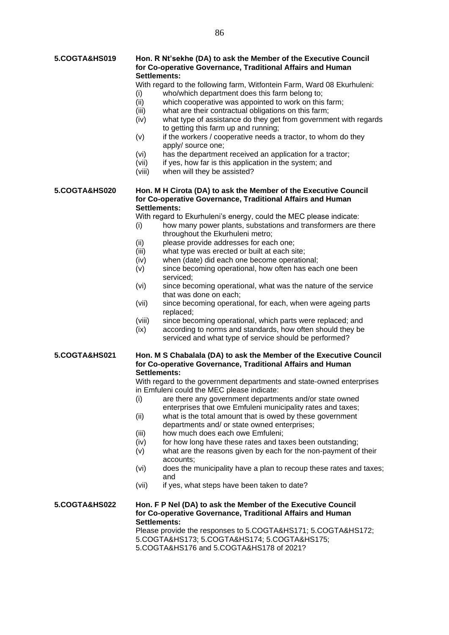#### **5.COGTA&HS019 Hon. R Nt'sekhe (DA) to ask the Member of the Executive Council for Co-operative Governance, Traditional Affairs and Human Settlements:**

With regard to the following farm, Witfontein Farm, Ward 08 Ekurhuleni:

- (i) who/which department does this farm belong to;
- (ii) which cooperative was appointed to work on this farm;
- (iii) what are their contractual obligations on this farm;
- (iv) what type of assistance do they get from government with regards to getting this farm up and running;
- (v) if the workers / cooperative needs a tractor, to whom do they apply/ source one;
- (vi) has the department received an application for a tractor;
- (vii) if yes, how far is this application in the system; and
- (viii) when will they be assisted?

#### **5.COGTA&HS020 Hon. M H Cirota (DA) to ask the Member of the Executive Council for Co-operative Governance, Traditional Affairs and Human Settlements:**

With regard to Ekurhuleni's energy, could the MEC please indicate:

- (i) how many power plants, substations and transformers are there throughout the Ekurhuleni metro;
- (ii) please provide addresses for each one;
- (iii) what type was erected or built at each site;
- (iv) when (date) did each one become operational;
- (v) since becoming operational, how often has each one been serviced;
- (vi) since becoming operational, what was the nature of the service that was done on each;
- (vii) since becoming operational, for each, when were ageing parts replaced;
- (viii) since becoming operational, which parts were replaced; and
- (ix) according to norms and standards, how often should they be serviced and what type of service should be performed?

#### **5.COGTA&HS021 Hon. M S Chabalala (DA) to ask the Member of the Executive Council for Co-operative Governance, Traditional Affairs and Human Settlements:**

With regard to the government departments and state-owned enterprises in Emfuleni could the MEC please indicate:

- (i) are there any government departments and/or state owned enterprises that owe Emfuleni municipality rates and taxes;
- (ii) what is the total amount that is owed by these government departments and/ or state owned enterprises;
- (iii) how much does each owe Emfuleni;
- $(iv)$  for how long have these rates and taxes been outstanding:
- (v) what are the reasons given by each for the non-payment of their accounts;
- (vi) does the municipality have a plan to recoup these rates and taxes; and
- (vii) if yes, what steps have been taken to date?

#### **5.COGTA&HS022 Hon. F P Nel (DA) to ask the Member of the Executive Council for Co-operative Governance, Traditional Affairs and Human Settlements:**

Please provide the responses to 5.COGTA&HS171; 5.COGTA&HS172; 5.COGTA&HS173; 5.COGTA&HS174; 5.COGTA&HS175; 5.COGTA&HS176 and 5.COGTA&HS178 of 2021?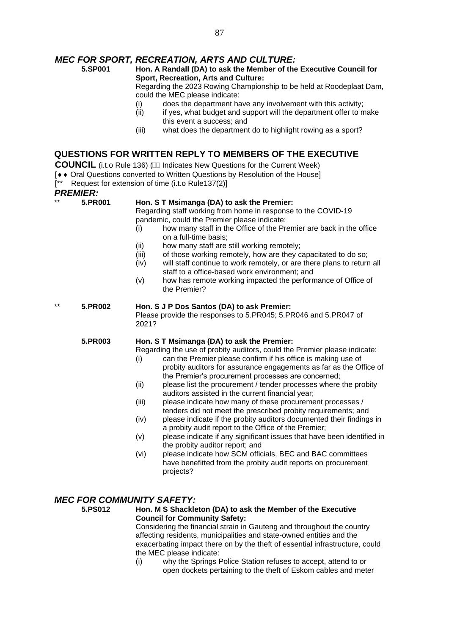## *MEC FOR SPORT, RECREATION, ARTS AND CULTURE:*

#### **5.SP001 Hon. A Randall (DA) to ask the Member of the Executive Council for Sport, Recreation, Arts and Culture:**

Regarding the 2023 Rowing Championship to be held at Roodeplaat Dam, could the MEC please indicate:

- (i) does the department have any involvement with this activity;
- $(iii)$  if yes, what budget and support will the department offer to make this event a success; and
- (iii) what does the department do to highlight rowing as a sport?

#### **QUESTIONS FOR WRITTEN REPLY TO MEMBERS OF THE EXECUTIVE**

**COUNCIL** (i.t.o Rule 136) (III Indicates New Questions for the Current Week)

- [ $\leftrightarrow$  Oral Questions converted to Written Questions by Resolution of the House]
- Request for extension of time (i.t.o Rule137(2)]

### *PREMIER:*

| FREMIER. |         |                                                                                                                                                                                                                                                                                                                                                                                                                                                                                                                                                                                                                                                                                                                                                                                                                                                                                                                                                                                                                   |  |  |
|----------|---------|-------------------------------------------------------------------------------------------------------------------------------------------------------------------------------------------------------------------------------------------------------------------------------------------------------------------------------------------------------------------------------------------------------------------------------------------------------------------------------------------------------------------------------------------------------------------------------------------------------------------------------------------------------------------------------------------------------------------------------------------------------------------------------------------------------------------------------------------------------------------------------------------------------------------------------------------------------------------------------------------------------------------|--|--|
| $***$    | 5.PR001 | Hon. S T Msimanga (DA) to ask the Premier:<br>Regarding staff working from home in response to the COVID-19<br>pandemic, could the Premier please indicate:<br>how many staff in the Office of the Premier are back in the office<br>(i)<br>on a full-time basis;<br>how many staff are still working remotely;<br>(ii)<br>of those working remotely, how are they capacitated to do so;<br>(iii)<br>will staff continue to work remotely, or are there plans to return all<br>(iv)<br>staff to a office-based work environment; and<br>how has remote working impacted the performance of Office of<br>(v)<br>the Premier?                                                                                                                                                                                                                                                                                                                                                                                       |  |  |
| $***$    | 5.PR002 | Hon. S J P Dos Santos (DA) to ask Premier:<br>Please provide the responses to 5.PR045; 5.PR046 and 5.PR047 of<br>2021?                                                                                                                                                                                                                                                                                                                                                                                                                                                                                                                                                                                                                                                                                                                                                                                                                                                                                            |  |  |
|          | 5.PR003 | Hon. S T Msimanga (DA) to ask the Premier:<br>Regarding the use of probity auditors, could the Premier please indicate:<br>can the Premier please confirm if his office is making use of<br>(i)<br>probity auditors for assurance engagements as far as the Office of<br>the Premier's procurement processes are concerned;<br>(ii)<br>please list the procurement / tender processes where the probity<br>auditors assisted in the current financial year;<br>please indicate how many of these procurement processes /<br>(iii)<br>tenders did not meet the prescribed probity requirements; and<br>please indicate if the probity auditors documented their findings in<br>(iv)<br>a probity audit report to the Office of the Premier;<br>please indicate if any significant issues that have been identified in<br>(v)<br>the probity auditor report; and<br>please indicate how SCM officials, BEC and BAC committees<br>(vi)<br>have benefitted from the probity audit reports on procurement<br>projects? |  |  |

## *MEC FOR COMMUNITY SAFETY:*

**5.PS012 Hon. M S Shackleton (DA) to ask the Member of the Executive Council for Community Safety:** Considering the financial strain in Gauteng and throughout the country affecting residents, municipalities and state-owned entities and the exacerbating impact there on by the theft of essential infrastructure, could the MEC please indicate:

(i) why the Springs Police Station refuses to accept, attend to or open dockets pertaining to the theft of Eskom cables and meter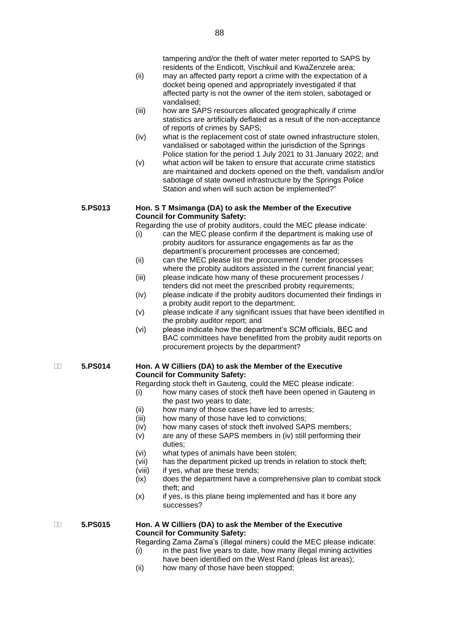- (ii) may an affected party report a crime with the expectation of a docket being opened and appropriately investigated if that affected party is not the owner of the item stolen, sabotaged or vandalised;
- (iii) how are SAPS resources allocated geographically if crime statistics are artificially deflated as a result of the non-acceptance of reports of crimes by SAPS;
- (iv) what is the replacement cost of state owned infrastructure stolen, vandalised or sabotaged within the jurisdiction of the Springs Police station for the period 1 July 2021 to 31 January 2022; and
- (v) what action will be taken to ensure that accurate crime statistics are maintained and dockets opened on the theft, vandalism and/or sabotage of state owned infrastructure by the Springs Police Station and when will such action be implemented?"

#### **5.PS013 Hon. S T Msimanga (DA) to ask the Member of the Executive Council for Community Safety:**

Regarding the use of probity auditors, could the MEC please indicate:

- (i) can the MEC please confirm if the department is making use of probity auditors for assurance engagements as far as the department's procurement processes are concerned;
- (ii) can the MEC please list the procurement / tender processes where the probity auditors assisted in the current financial year;
- (iii) please indicate how many of these procurement processes / tenders did not meet the prescribed probity requirements;
- (iv) please indicate if the probity auditors documented their findings in a probity audit report to the department;
- (v) please indicate if any significant issues that have been identified in the probity auditor report; and
- (vi) please indicate how the department's SCM officials, BEC and BAC committees have benefitted from the probity audit reports on procurement projects by the department?

#### **5.PS014 Hon. A W Cilliers (DA) to ask the Member of the Executive Council for Community Safety:**

Regarding stock theft in Gauteng, could the MEC please indicate:

- (i) how many cases of stock theft have been opened in Gauteng in the past two years to date;
- (ii) how many of those cases have led to arrests;<br>(iii) how many of those have led to convictions;
- how many of those have led to convictions;
- (iv) how many cases of stock theft involved SAPS members;
- (v) are any of these SAPS members in (iv) still performing their duties;
- (vi) what types of animals have been stolen;
- (vii) has the department picked up trends in relation to stock theft;
- (viii) if yes, what are these trends;
- (ix) does the department have a comprehensive plan to combat stock theft; and
- (x) if yes, is this plane being implemented and has it bore any successes?

#### **5.PS015 Hon. A W Cilliers (DA) to ask the Member of the Executive Council for Community Safety:**

Regarding Zama Zama's (illegal miners) could the MEC please indicate:

- $(i)$  in the past five years to date, how many illegal mining activities
- have been identified om the West Rand (pleas list areas); (ii) how many of those have been stopped;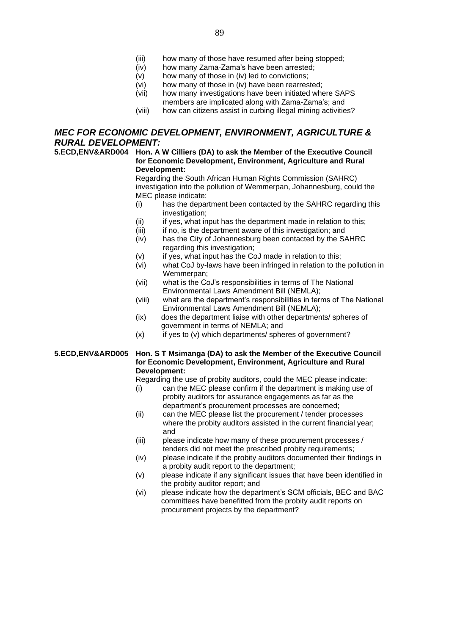- (iii) how many of those have resumed after being stopped;
- (iv) how many Zama-Zama's have been arrested;
- (v) how many of those in (iv) led to convictions;
- (vi) how many of those in (iv) have been rearrested;
- (vii) how many investigations have been initiated where SAPS members are implicated along with Zama-Zama's; and
- (viii) how can citizens assist in curbing illegal mining activities?

#### *MEC FOR ECONOMIC DEVELOPMENT, ENVIRONMENT, AGRICULTURE & RURAL DEVELOPMENT:*

#### **5.ECD,ENV&ARD004 Hon. A W Cilliers (DA) to ask the Member of the Executive Council for Economic Development, Environment, Agriculture and Rural Development:**

Regarding the South African Human Rights Commission (SAHRC) investigation into the pollution of Wemmerpan, Johannesburg, could the MEC please indicate:

- (i) has the department been contacted by the SAHRC regarding this investigation:
- (ii) if yes, what input has the department made in relation to this;
- (iii) if no, is the department aware of this investigation; and
- (iv) has the City of Johannesburg been contacted by the SAHRC regarding this investigation;
- (v) if yes, what input has the CoJ made in relation to this;
- (vi) what CoJ by-laws have been infringed in relation to the pollution in Wemmerpan;
- (vii) what is the CoJ's responsibilities in terms of The National Environmental Laws Amendment Bill (NEMLA);
- (viii) what are the department's responsibilities in terms of The National Environmental Laws Amendment Bill (NEMLA);
- (ix) does the department liaise with other departments/ spheres of government in terms of NEMLA; and
- $(x)$  if yes to  $(v)$  which departments/ spheres of government?

#### **5.ECD,ENV&ARD005 Hon. S T Msimanga (DA) to ask the Member of the Executive Council for Economic Development, Environment, Agriculture and Rural Development:**

Regarding the use of probity auditors, could the MEC please indicate:

- (i) can the MEC please confirm if the department is making use of probity auditors for assurance engagements as far as the department's procurement processes are concerned;
- (ii) can the MEC please list the procurement / tender processes where the probity auditors assisted in the current financial year; and
- (iii) please indicate how many of these procurement processes / tenders did not meet the prescribed probity requirements;
- (iv) please indicate if the probity auditors documented their findings in a probity audit report to the department;
- (v) please indicate if any significant issues that have been identified in the probity auditor report; and
- (vi) please indicate how the department's SCM officials, BEC and BAC committees have benefitted from the probity audit reports on procurement projects by the department?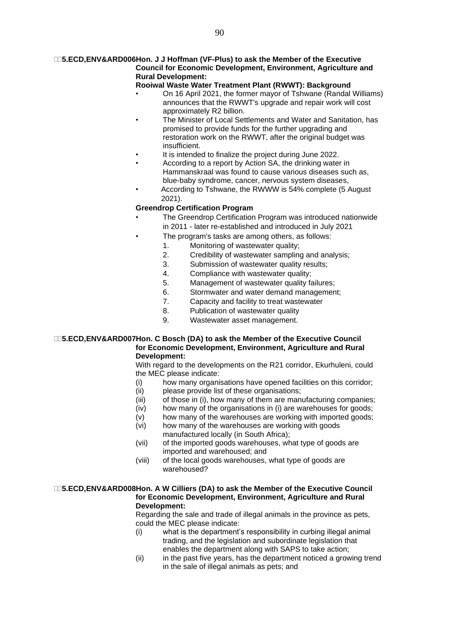#### **5.ECD,ENV&ARD006Hon. J J Hoffman (VF-Plus) to ask the Member of the Executive Council for Economic Development, Environment, Agriculture and Rural Development:**

#### **Rooiwal Waste Water Treatment Plant (RWWT): Background**

- On 16 April 2021, the former mayor of Tshwane (Randal Williams) announces that the RWWT's upgrade and repair work will cost approximately R2 billion.
- The Minister of Local Settlements and Water and Sanitation, has promised to provide funds for the further upgrading and restoration work on the RWWT, after the original budget was insufficient.
- It is intended to finalize the project during June 2022.
- According to a report by Action SA, the drinking water in Hammanskraal was found to cause various diseases such as, blue-baby syndrome, cancer, nervous system diseases,
- According to Tshwane, the RWWW is 54% complete (5 August 2021).

#### **Greendrop Certification Program**

- The Greendrop Certification Program was introduced nationwide in 2011 - later re-established and introduced in July 2021
	- The program's tasks are among others, as follows:
		- 1. Monitoring of wastewater quality;
			- 2. Credibility of wastewater sampling and analysis;
			- 3. Submission of wastewater quality results;
			- 4. Compliance with wastewater quality;
			- 5. Management of wastewater quality failures;
			- 6. Stormwater and water demand management;
			- 7. Capacity and facility to treat wastewater
			- 8. Publication of wastewater quality
			- 9. Wastewater asset management.

#### **5.ECD,ENV&ARD007Hon. C Bosch (DA) to ask the Member of the Executive Council for Economic Development, Environment, Agriculture and Rural Development:**

With regard to the developments on the R21 corridor, Ekurhuleni, could the MEC please indicate:

- (i) how many organisations have opened facilities on this corridor;
- (ii) please provide list of these organisations;
- (iii) of those in (i), how many of them are manufacturing companies;
- (iv) how many of the organisations in (i) are warehouses for goods;
- (v) how many of the warehouses are working with imported goods;
- (vi) how many of the warehouses are working with goods manufactured locally (in South Africa);
- (vii) of the imported goods warehouses, what type of goods are imported and warehoused; and
- (viii) of the local goods warehouses, what type of goods are warehoused?

#### **5.ECD,ENV&ARD008Hon. A W Cilliers (DA) to ask the Member of the Executive Council for Economic Development, Environment, Agriculture and Rural Development:**

Regarding the sale and trade of illegal animals in the province as pets, could the MEC please indicate:

- (i) what is the department's responsibility in curbing illegal animal trading, and the legislation and subordinate legislation that enables the department along with SAPS to take action;
- (ii) in the past five years, has the department noticed a growing trend in the sale of illegal animals as pets; and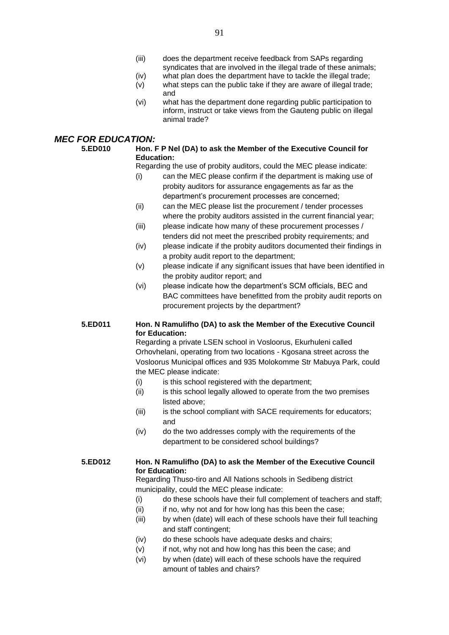- (iii) does the department receive feedback from SAPs regarding syndicates that are involved in the illegal trade of these animals;
- (iv) what plan does the department have to tackle the illegal trade;
- (v) what steps can the public take if they are aware of illegal trade; and
- (vi) what has the department done regarding public participation to inform, instruct or take views from the Gauteng public on illegal animal trade?

#### *MEC FOR EDUCATION:*

#### **5.ED010 Hon. F P Nel (DA) to ask the Member of the Executive Council for Education:**

Regarding the use of probity auditors, could the MEC please indicate:

- (i) can the MEC please confirm if the department is making use of probity auditors for assurance engagements as far as the department's procurement processes are concerned;
- (ii) can the MEC please list the procurement / tender processes where the probity auditors assisted in the current financial year;
- (iii) please indicate how many of these procurement processes / tenders did not meet the prescribed probity requirements; and
- (iv) please indicate if the probity auditors documented their findings in a probity audit report to the department;
- (v) please indicate if any significant issues that have been identified in the probity auditor report; and
- (vi) please indicate how the department's SCM officials, BEC and BAC committees have benefitted from the probity audit reports on procurement projects by the department?

#### **5.ED011 Hon. N Ramulifho (DA) to ask the Member of the Executive Council for Education:**

Regarding a private LSEN school in Vosloorus, Ekurhuleni called Orhovhelani, operating from two locations - Kgosana street across the Vosloorus Municipal offices and 935 Molokomme Str Mabuya Park, could the MEC please indicate:

- (i) is this school registered with the department;
- (ii) is this school legally allowed to operate from the two premises listed above;
- (iii) is the school compliant with SACE requirements for educators; and
- (iv) do the two addresses comply with the requirements of the department to be considered school buildings?

#### **5.ED012 Hon. N Ramulifho (DA) to ask the Member of the Executive Council for Education:**

Regarding Thuso-tiro and All Nations schools in Sedibeng district municipality, could the MEC please indicate:

- (i) do these schools have their full complement of teachers and staff;
- (ii) if no, why not and for how long has this been the case;
- (iii) by when (date) will each of these schools have their full teaching and staff contingent;
- (iv) do these schools have adequate desks and chairs;
- (v) if not, why not and how long has this been the case; and
- (vi) by when (date) will each of these schools have the required amount of tables and chairs?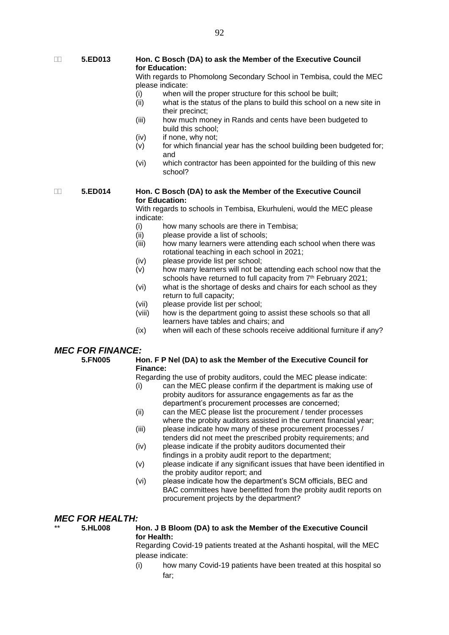**5.ED013 Hon. C Bosch (DA) to ask the Member of the Executive Council for Education:**

> With regards to Phomolong Secondary School in Tembisa, could the MEC please indicate:

- (i) when will the proper structure for this school be built;
- (ii) what is the status of the plans to build this school on a new site in their precinct;
- (iii) how much money in Rands and cents have been budgeted to build this school;
- (iv) if none, why not;
- (v) for which financial year has the school building been budgeted for; and
- (vi) which contractor has been appointed for the building of this new school?

#### **5.ED014 Hon. C Bosch (DA) to ask the Member of the Executive Council for Education:**

With regards to schools in Tembisa, Ekurhuleni, would the MEC please indicate:

- (i) how many schools are there in Tembisa;
- (ii) please provide a list of schools;
- (iii) how many learners were attending each school when there was rotational teaching in each school in 2021;
- (iv) please provide list per school;
- (v) how many learners will not be attending each school now that the schools have returned to full capacity from 7<sup>th</sup> February 2021;
- (vi) what is the shortage of desks and chairs for each school as they return to full capacity;
- (vii) please provide list per school;
- (viii) how is the department going to assist these schools so that all learners have tables and chairs; and
- (ix) when will each of these schools receive additional furniture if any?

#### *MEC FOR FINANCE:*

**5.FN005 Hon. F P Nel (DA) to ask the Member of the Executive Council for Finance:**

Regarding the use of probity auditors, could the MEC please indicate:

- (i) can the MEC please confirm if the department is making use of probity auditors for assurance engagements as far as the department's procurement processes are concerned;
- (ii) can the MEC please list the procurement / tender processes where the probity auditors assisted in the current financial year;
- (iii) please indicate how many of these procurement processes / tenders did not meet the prescribed probity requirements; and
- (iv) please indicate if the probity auditors documented their findings in a probity audit report to the department;
- (v) please indicate if any significant issues that have been identified in the probity auditor report; and
- (vi) please indicate how the department's SCM officials, BEC and BAC committees have benefitted from the probity audit reports on procurement projects by the department?

#### *MEC FOR HEALTH:*

#### \*\* **5.HL008 Hon. J B Bloom (DA) to ask the Member of the Executive Council for Health:**

Regarding Covid-19 patients treated at the Ashanti hospital, will the MEC please indicate:

(i) how many Covid-19 patients have been treated at this hospital so far;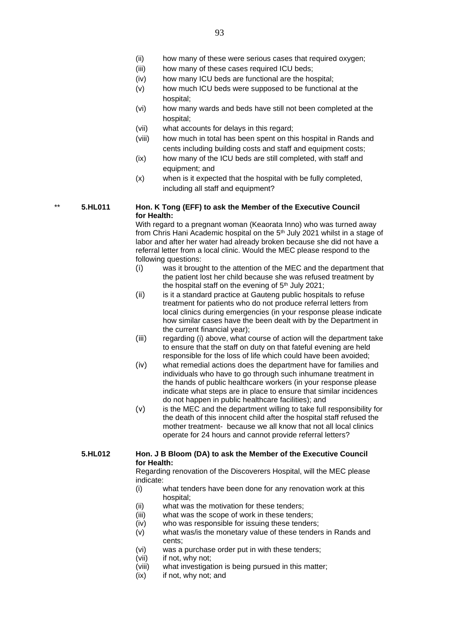- (iii) how many of these cases required ICU beds;
- (iv) how many ICU beds are functional are the hospital;
- (v) how much ICU beds were supposed to be functional at the hospital;
- (vi) how many wards and beds have still not been completed at the hospital;
- (vii) what accounts for delays in this regard;
- (viii) how much in total has been spent on this hospital in Rands and cents including building costs and staff and equipment costs;
- (ix) how many of the ICU beds are still completed, with staff and equipment; and
- (x) when is it expected that the hospital with be fully completed, including all staff and equipment?

#### \*\* **5.HL011 Hon. K Tong (EFF) to ask the Member of the Executive Council for Health:**

With regard to a pregnant woman (Keaorata Inno) who was turned away from Chris Hani Academic hospital on the 5<sup>th</sup> July 2021 whilst in a stage of labor and after her water had already broken because she did not have a referral letter from a local clinic. Would the MEC please respond to the following questions:

- (i) was it brought to the attention of the MEC and the department that the patient lost her child because she was refused treatment by the hospital staff on the evening of  $5<sup>th</sup>$  July 2021;
- (ii) is it a standard practice at Gauteng public hospitals to refuse treatment for patients who do not produce referral letters from local clinics during emergencies (in your response please indicate how similar cases have the been dealt with by the Department in the current financial year);
- (iii) regarding (i) above, what course of action will the department take to ensure that the staff on duty on that fateful evening are held responsible for the loss of life which could have been avoided;
- (iv) what remedial actions does the department have for families and individuals who have to go through such inhumane treatment in the hands of public healthcare workers (in your response please indicate what steps are in place to ensure that similar incidences do not happen in public healthcare facilities); and
- (v) is the MEC and the department willing to take full responsibility for the death of this innocent child after the hospital staff refused the mother treatment- because we all know that not all local clinics operate for 24 hours and cannot provide referral letters?

#### **5.HL012 Hon. J B Bloom (DA) to ask the Member of the Executive Council for Health:**

Regarding renovation of the Discoverers Hospital, will the MEC please indicate:

- (i) what tenders have been done for any renovation work at this hospital;
- (ii) what was the motivation for these tenders;
- (iii) what was the scope of work in these tenders;
- (iv) who was responsible for issuing these tenders;
- (v) what was/is the monetary value of these tenders in Rands and cents;
- (vi) was a purchase order put in with these tenders;
- (vii) if not, why not;
- (viii) what investigation is being pursued in this matter;
- (ix) if not, why not; and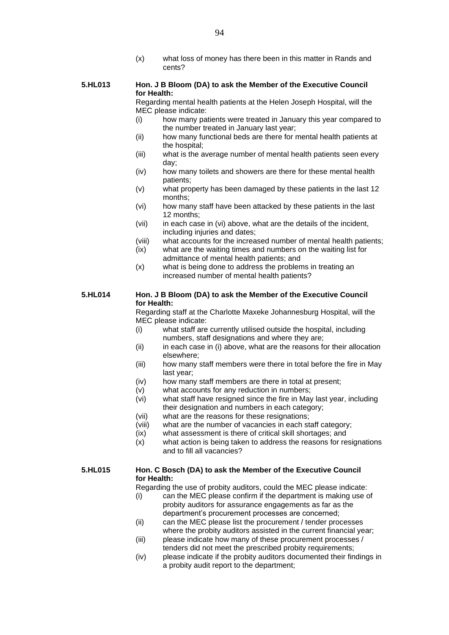(x) what loss of money has there been in this matter in Rands and cents?

#### **5.HL013 Hon. J B Bloom (DA) to ask the Member of the Executive Council for Health:**

Regarding mental health patients at the Helen Joseph Hospital, will the MEC please indicate:

- (i) how many patients were treated in January this year compared to the number treated in January last year;
- (ii) how many functional beds are there for mental health patients at the hospital;
- (iii) what is the average number of mental health patients seen every day;
- (iv) how many toilets and showers are there for these mental health patients;
- (v) what property has been damaged by these patients in the last 12 months;
- (vi) how many staff have been attacked by these patients in the last 12 months;
- (vii) in each case in (vi) above, what are the details of the incident, including injuries and dates;
- (viii) what accounts for the increased number of mental health patients;
- (ix) what are the waiting times and numbers on the waiting list for admittance of mental health patients; and
- (x) what is being done to address the problems in treating an increased number of mental health patients?

#### **5.HL014 Hon. J B Bloom (DA) to ask the Member of the Executive Council for Health:**

Regarding staff at the Charlotte Maxeke Johannesburg Hospital, will the MEC please indicate:

- (i) what staff are currently utilised outside the hospital, including numbers, staff designations and where they are;
- (ii) in each case in (i) above, what are the reasons for their allocation elsewhere;
- (iii) how many staff members were there in total before the fire in May last year;
- (iv) how many staff members are there in total at present;
- (v) what accounts for any reduction in numbers;
- (vi) what staff have resigned since the fire in May last year, including their designation and numbers in each category;
- (vii) what are the reasons for these resignations;
- (viii) what are the number of vacancies in each staff category;
- (ix) what assessment is there of critical skill shortages; and
- (x) what action is being taken to address the reasons for resignations and to fill all vacancies?

#### **5.HL015 Hon. C Bosch (DA) to ask the Member of the Executive Council for Health:**

Regarding the use of probity auditors, could the MEC please indicate:

- (i) can the MEC please confirm if the department is making use of probity auditors for assurance engagements as far as the department's procurement processes are concerned;
- (ii) can the MEC please list the procurement / tender processes where the probity auditors assisted in the current financial year;
- (iii) please indicate how many of these procurement processes / tenders did not meet the prescribed probity requirements;
- (iv) please indicate if the probity auditors documented their findings in a probity audit report to the department;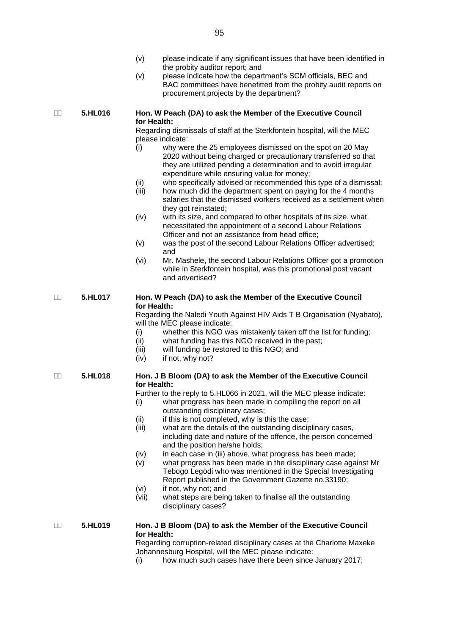- (v) please indicate if any significant issues that have been identified in the probity auditor report; and
- (v) please indicate how the department's SCM officials, BEC and BAC committees have benefitted from the probity audit reports on procurement projects by the department?

#### **5.HL016 Hon. W Peach (DA) to ask the Member of the Executive Council for Health:**

Regarding dismissals of staff at the Sterkfontein hospital, will the MEC please indicate:

- (i) why were the 25 employees dismissed on the spot on 20 May 2020 without being charged or precautionary transferred so that they are utilized pending a determination and to avoid irregular expenditure while ensuring value for money;
- (ii) who specifically advised or recommended this type of a dismissal;
- (iii) how much did the department spent on paying for the 4 months salaries that the dismissed workers received as a settlement when they got reinstated;
- (iv) with its size, and compared to other hospitals of its size, what necessitated the appointment of a second Labour Relations Officer and not an assistance from head office;
- (v) was the post of the second Labour Relations Officer advertised; and
- (vi) Mr. Mashele, the second Labour Relations Officer got a promotion while in Sterkfontein hospital, was this promotional post vacant and advertised?

#### **5.HL017 Hon. W Peach (DA) to ask the Member of the Executive Council for Health:**

Regarding the Naledi Youth Against HIV Aids T B Organisation (Nyahato), will the MEC please indicate:

- (i) whether this NGO was mistakenly taken off the list for funding;
- (ii) what funding has this NGO received in the past;
- (iii) will funding be restored to this NGO; and
- (iv) if not, why not?

#### **5.HL018 Hon. J B Bloom (DA) to ask the Member of the Executive Council for Health:**

Further to the reply to 5.HL066 in 2021, will the MEC please indicate:

- (i) what progress has been made in compiling the report on all outstanding disciplinary cases;
- (ii) if this is not completed, why is this the case;
- (iii) what are the details of the outstanding disciplinary cases, including date and nature of the offence, the person concerned and the position he/she holds;
- (iv) in each case in (iii) above, what progress has been made;
- (v) what progress has been made in the disciplinary case against Mr Tebogo Legodi who was mentioned in the Special Investigating Report published in the Government Gazette no.33190;
- (vi) if not, why not; and
- (vii) what steps are being taken to finalise all the outstanding disciplinary cases?

#### **5.HL019 Hon. J B Bloom (DA) to ask the Member of the Executive Council for Health:**

Regarding corruption-related disciplinary cases at the Charlotte Maxeke Johannesburg Hospital, will the MEC please indicate:

(i) how much such cases have there been since January 2017;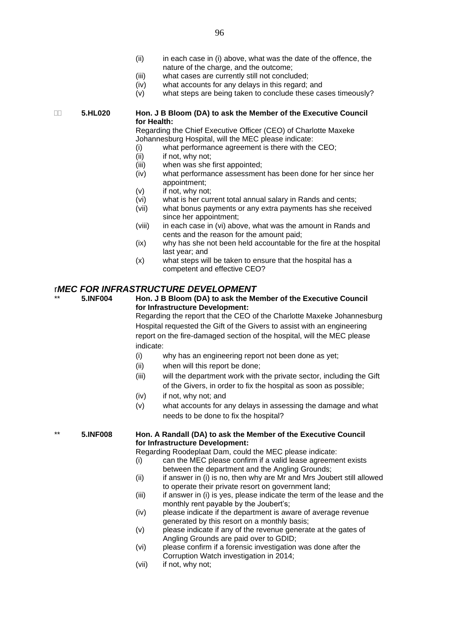- (ii) in each case in (i) above, what was the date of the offence, the nature of the charge, and the outcome;
- (iii) what cases are currently still not concluded;
- (iv) what accounts for any delays in this regard; and
- (v) what steps are being taken to conclude these cases timeously?

#### **5.HL020 Hon. J B Bloom (DA) to ask the Member of the Executive Council for Health:**

Regarding the Chief Executive Officer (CEO) of Charlotte Maxeke Johannesburg Hospital, will the MEC please indicate:

- (i) what performance agreement is there with the CEO;
- (ii) if not, why not;
- (iii) when was she first appointed;
- (iv) what performance assessment has been done for her since her appointment;
- (v) if not, why not;
- (vi) what is her current total annual salary in Rands and cents;
- (vii) what bonus payments or any extra payments has she received since her appointment;
- (viii) in each case in (vi) above, what was the amount in Rands and cents and the reason for the amount paid;
- (ix) why has she not been held accountable for the fire at the hospital last year; and
- (x) what steps will be taken to ensure that the hospital has a competent and effective CEO?

#### r*MEC FOR INFRASTRUCTURE DEVELOPMENT*

\*\* **5.INF004 Hon. J B Bloom (DA) to ask the Member of the Executive Council for Infrastructure Development:**

Regarding the report that the CEO of the Charlotte Maxeke Johannesburg Hospital requested the Gift of the Givers to assist with an engineering report on the fire-damaged section of the hospital, will the MEC please indicate:

- (i) why has an engineering report not been done as yet;
- (ii) when will this report be done;
- (iii) will the department work with the private sector, including the Gift of the Givers, in order to fix the hospital as soon as possible;
- (iv) if not, why not; and
- (v) what accounts for any delays in assessing the damage and what needs to be done to fix the hospital?

#### \*\* **5.INF008 Hon. A Randall (DA) to ask the Member of the Executive Council for Infrastructure Development:**

Regarding Roodeplaat Dam, could the MEC please indicate:

- (i) can the MEC please confirm if a valid lease agreement exists between the department and the Angling Grounds;
- (ii) if answer in (i) is no, then why are Mr and Mrs Joubert still allowed to operate their private resort on government land;
- (iii) if answer in (i) is yes, please indicate the term of the lease and the monthly rent payable by the Joubert's;
- (iv) please indicate if the department is aware of average revenue generated by this resort on a monthly basis;
- (v) please indicate if any of the revenue generate at the gates of Angling Grounds are paid over to GDID;
- (vi) please confirm if a forensic investigation was done after the Corruption Watch investigation in 2014;
- (vii) if not, why not;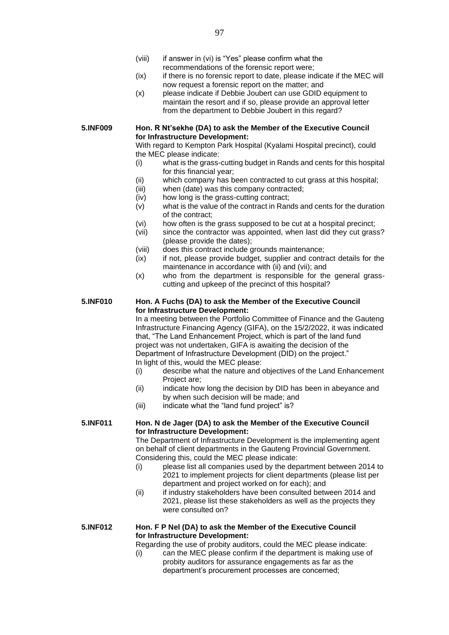- (viii) if answer in (vi) is "Yes" please confirm what the recommendations of the forensic report were;
- (ix) if there is no forensic report to date, please indicate if the MEC will now request a forensic report on the matter; and
- (x) please indicate if Debbie Joubert can use GDID equipment to maintain the resort and if so, please provide an approval letter from the department to Debbie Joubert in this regard?

#### **5.INF009 Hon. R Nt'sekhe (DA) to ask the Member of the Executive Council for Infrastructure Development:**

With regard to Kempton Park Hospital (Kyalami Hospital precinct), could the MEC please indicate:

- (i) what is the grass-cutting budget in Rands and cents for this hospital for this financial year;
- (ii) which company has been contracted to cut grass at this hospital;
- (iii) when (date) was this company contracted;
- (iv) how long is the grass-cutting contract;
- $\overrightarrow{(v)}$  what is the value of the contract in Rands and cents for the duration of the contract;
- (vi) how often is the grass supposed to be cut at a hospital precinct;
- (vii) since the contractor was appointed, when last did they cut grass? (please provide the dates);
- (viii) does this contract include grounds maintenance;
- (ix) if not, please provide budget, supplier and contract details for the maintenance in accordance with (ii) and (vii); and
- (x) who from the department is responsible for the general grasscutting and upkeep of the precinct of this hospital?

#### **5.INF010 Hon. A Fuchs (DA) to ask the Member of the Executive Council for Infrastructure Development:**

In a meeting between the Portfolio Committee of Finance and the Gauteng Infrastructure Financing Agency (GIFA), on the 15/2/2022, it was indicated that, "The Land Enhancement Project, which is part of the land fund project was not undertaken, GIFA is awaiting the decision of the Department of Infrastructure Development (DID) on the project." In light of this, would the MEC please:

- (i) describe what the nature and objectives of the Land Enhancement Project are;
- (ii) indicate how long the decision by DID has been in abeyance and by when such decision will be made; and
- (iii) indicate what the "land fund project" is?

#### **5.INF011 Hon. N de Jager (DA) to ask the Member of the Executive Council for Infrastructure Development:**

The Department of Infrastructure Development is the implementing agent on behalf of client departments in the Gauteng Provincial Government. Considering this, could the MEC please indicate:

- (i) please list all companies used by the department between 2014 to 2021 to implement projects for client departments (please list per department and project worked on for each); and
- (ii) if industry stakeholders have been consulted between 2014 and 2021, please list these stakeholders as well as the projects they were consulted on?

#### **5.INF012 Hon. F P Nel (DA) to ask the Member of the Executive Council for Infrastructure Development:**

Regarding the use of probity auditors, could the MEC please indicate:

(i) can the MEC please confirm if the department is making use of probity auditors for assurance engagements as far as the department's procurement processes are concerned;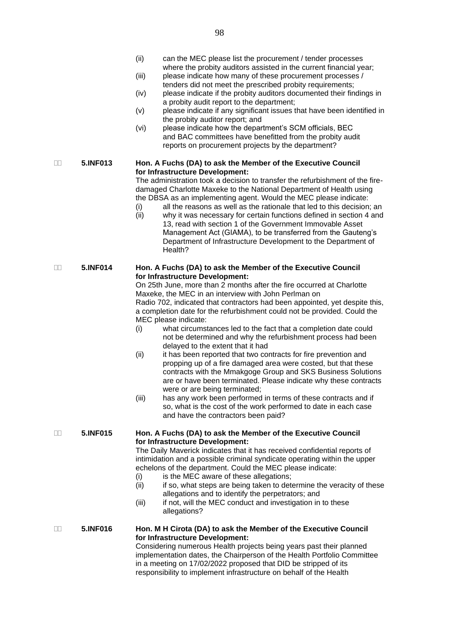- (iii) please indicate how many of these procurement processes / tenders did not meet the prescribed probity requirements;
- (iv) please indicate if the probity auditors documented their findings in a probity audit report to the department;
- (v) please indicate if any significant issues that have been identified in the probity auditor report; and
- (vi) please indicate how the department's SCM officials, BEC and BAC committees have benefitted from the probity audit reports on procurement projects by the department?

#### **5.INF013 Hon. A Fuchs (DA) to ask the Member of the Executive Council for Infrastructure Development:**

The administration took a decision to transfer the refurbishment of the firedamaged Charlotte Maxeke to the National Department of Health using the DBSA as an implementing agent. Would the MEC please indicate:

- (i) all the reasons as well as the rationale that led to this decision; an
- (ii) why it was necessary for certain functions defined in section 4 and 13, read with section 1 of the Government Immovable Asset Management Act (GIAMA), to be transferred from the Gauteng's Department of Infrastructure Development to the Department of Health?

#### **5.INF014 Hon. A Fuchs (DA) to ask the Member of the Executive Council for Infrastructure Development:**

On 25th June, more than 2 months after the fire occurred at Charlotte Maxeke, the MEC in an interview with John Perlman on Radio 702, indicated that contractors had been appointed, yet despite this, a completion date for the refurbishment could not be provided. Could the MEC please indicate:

- (i) what circumstances led to the fact that a completion date could not be determined and why the refurbishment process had been delayed to the extent that it had
- (ii) it has been reported that two contracts for fire prevention and propping up of a fire damaged area were costed, but that these contracts with the Mmakgoge Group and SKS Business Solutions are or have been terminated. Please indicate why these contracts were or are being terminated;
- (iii) has any work been performed in terms of these contracts and if so, what is the cost of the work performed to date in each case and have the contractors been paid?

#### **5.INF015 Hon. A Fuchs (DA) to ask the Member of the Executive Council for Infrastructure Development:**

The Daily Maverick indicates that it has received confidential reports of intimidation and a possible criminal syndicate operating within the upper echelons of the department. Could the MEC please indicate:

- (i) is the MEC aware of these allegations:
- (ii) if so, what steps are being taken to determine the veracity of these allegations and to identify the perpetrators; and
- (iii) if not, will the MEC conduct and investigation in to these allegations?

responsibility to implement infrastructure on behalf of the Health

#### **5.INF016 Hon. M H Cirota (DA) to ask the Member of the Executive Council for Infrastructure Development:** Considering numerous Health projects being years past their planned implementation dates, the Chairperson of the Health Portfolio Committee in a meeting on 17/02/2022 proposed that DID be stripped of its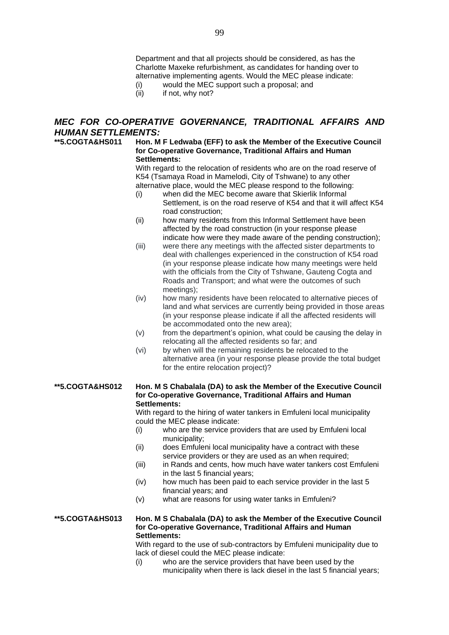Department and that all projects should be considered, as has the Charlotte Maxeke refurbishment, as candidates for handing over to alternative implementing agents. Would the MEC please indicate:

- (i) would the MEC support such a proposal; and
- (ii) if not, why not?

#### *MEC FOR CO-OPERATIVE GOVERNANCE, TRADITIONAL AFFAIRS AND HUMAN SETTLEMENTS:*

#### **\*\*5.COGTA&HS011 Hon. M F Ledwaba (EFF) to ask the Member of the Executive Council for Co-operative Governance, Traditional Affairs and Human Settlements:**

With regard to the relocation of residents who are on the road reserve of K54 (Tsamaya Road in Mamelodi, City of Tshwane) to any other alternative place, would the MEC please respond to the following:

- (i) when did the MEC become aware that Skierlik Informal Settlement, is on the road reserve of K54 and that it will affect K54 road construction;
- (ii) how many residents from this Informal Settlement have been affected by the road construction (in your response please indicate how were they made aware of the pending construction);
- (iii) were there any meetings with the affected sister departments to deal with challenges experienced in the construction of K54 road (in your response please indicate how many meetings were held with the officials from the City of Tshwane, Gauteng Cogta and Roads and Transport; and what were the outcomes of such meetings);
- (iv) how many residents have been relocated to alternative pieces of land and what services are currently being provided in those areas (in your response please indicate if all the affected residents will be accommodated onto the new area);
- (v) from the department's opinion, what could be causing the delay in relocating all the affected residents so far; and
- (vi) by when will the remaining residents be relocated to the alternative area (in your response please provide the total budget for the entire relocation project)?

#### **\*\*5.COGTA&HS012 Hon. M S Chabalala (DA) to ask the Member of the Executive Council for Co-operative Governance, Traditional Affairs and Human Settlements:**

With regard to the hiring of water tankers in Emfuleni local municipality could the MEC please indicate:

- (i) who are the service providers that are used by Emfuleni local municipality;
- (ii) does Emfuleni local municipality have a contract with these service providers or they are used as an when required;
- (iii) in Rands and cents, how much have water tankers cost Emfuleni in the last 5 financial years;
- (iv) how much has been paid to each service provider in the last 5 financial years; and
- (v) what are reasons for using water tanks in Emfuleni?

#### **\*\*5.COGTA&HS013 Hon. M S Chabalala (DA) to ask the Member of the Executive Council for Co-operative Governance, Traditional Affairs and Human Settlements:**

With regard to the use of sub-contractors by Emfuleni municipality due to lack of diesel could the MEC please indicate:

(i) who are the service providers that have been used by the municipality when there is lack diesel in the last 5 financial years;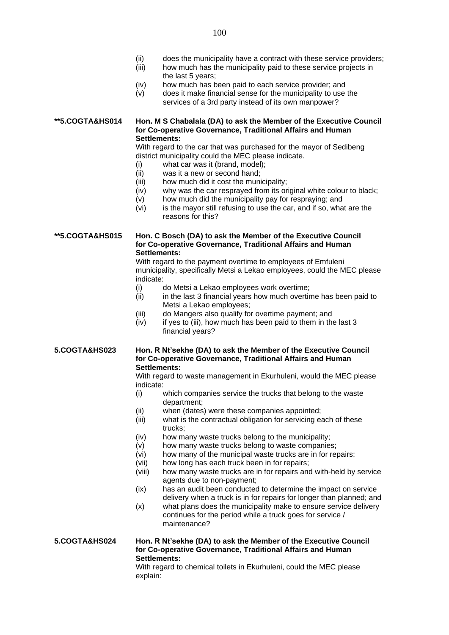- (ii) does the municipality have a contract with these service providers;
- (iii) how much has the municipality paid to these service projects in the last 5 years;
- (iv) how much has been paid to each service provider; and
- (v) does it make financial sense for the municipality to use the services of a 3rd party instead of its own manpower?

**\*\*5.COGTA&HS014 Hon. M S Chabalala (DA) to ask the Member of the Executive Council for Co-operative Governance, Traditional Affairs and Human Settlements:**

> With regard to the car that was purchased for the mayor of Sedibeng district municipality could the MEC please indicate.

- (i) what car was it (brand, model);
- (ii) was it a new or second hand;
- (iii) how much did it cost the municipality;
- (iv) why was the car resprayed from its original white colour to black;
- (v) how much did the municipality pay for respraying; and
- $(vi)$  is the mayor still refusing to use the car, and if so, what are the reasons for this?

**\*\*5.COGTA&HS015 Hon. C Bosch (DA) to ask the Member of the Executive Council for Co-operative Governance, Traditional Affairs and Human Settlements:**

> With regard to the payment overtime to employees of Emfuleni municipality, specifically Metsi a Lekao employees, could the MEC please indicate:

- (i) do Metsi a Lekao employees work overtime;
- (ii) in the last 3 financial years how much overtime has been paid to Metsi a Lekao employees;
- (iii) do Mangers also qualify for overtime payment; and
- (iv) if yes to (iii), how much has been paid to them in the last 3 financial years?

**5.COGTA&HS023 Hon. R Nt'sekhe (DA) to ask the Member of the Executive Council for Co-operative Governance, Traditional Affairs and Human Settlements:**

> With regard to waste management in Ekurhuleni, would the MEC please indicate:

- (i) which companies service the trucks that belong to the waste department;
- (ii) when (dates) were these companies appointed;
- (iii) what is the contractual obligation for servicing each of these trucks;
- (iv) how many waste trucks belong to the municipality;
- (v) how many waste trucks belong to waste companies;
- (vi) how many of the municipal waste trucks are in for repairs;
- (vii) how long has each truck been in for repairs;
- (viii) how many waste trucks are in for repairs and with-held by service agents due to non-payment;
- (ix) has an audit been conducted to determine the impact on service delivery when a truck is in for repairs for longer than planned; and
- (x) what plans does the municipality make to ensure service delivery continues for the period while a truck goes for service / maintenance?

**5.COGTA&HS024 Hon. R Nt'sekhe (DA) to ask the Member of the Executive Council for Co-operative Governance, Traditional Affairs and Human Settlements:**

With regard to chemical toilets in Ekurhuleni, could the MEC please explain: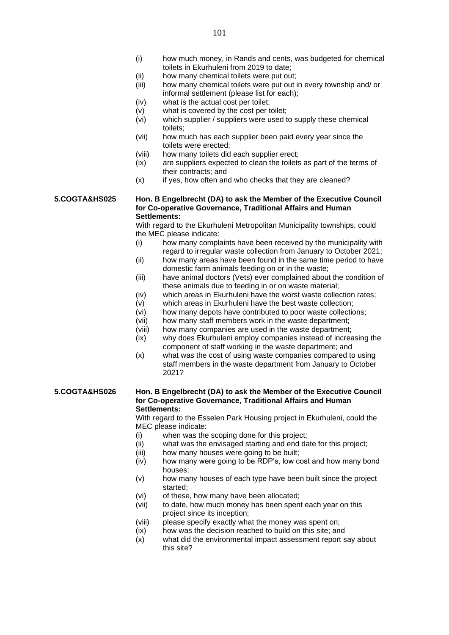- (i) how much money, in Rands and cents, was budgeted for chemical toilets in Ekurhuleni from 2019 to date;
- (ii) how many chemical toilets were put out;
- (iii) how many chemical toilets were put out in every township and/ or informal settlement (please list for each);
- (iv) what is the actual cost per toilet;
- (v) what is covered by the cost per toilet;
- (vi) which supplier / suppliers were used to supply these chemical toilets;
- (vii) how much has each supplier been paid every year since the toilets were erected;
- (viii) how many toilets did each supplier erect;
- (ix) are suppliers expected to clean the toilets as part of the terms of their contracts; and
- $(x)$  if yes, how often and who checks that they are cleaned?

#### **5.COGTA&HS025 Hon. B Engelbrecht (DA) to ask the Member of the Executive Council for Co-operative Governance, Traditional Affairs and Human Settlements:**

With regard to the Ekurhuleni Metropolitan Municipality townships, could the MEC please indicate:

- (i) how many complaints have been received by the municipality with regard to irregular waste collection from January to October 2021;
- (ii) how many areas have been found in the same time period to have domestic farm animals feeding on or in the waste;
- (iii) have animal doctors (Vets) ever complained about the condition of these animals due to feeding in or on waste material;
- (iv) which areas in Ekurhuleni have the worst waste collection rates;
- (v) which areas in Ekurhuleni have the best waste collection;
- (vi) how many depots have contributed to poor waste collections;
	- (vii) how many staff members work in the waste department;
	- (viii) how many companies are used in the waste department;
	- (ix) why does Ekurhuleni employ companies instead of increasing the component of staff working in the waste department; and
	- (x) what was the cost of using waste companies compared to using staff members in the waste department from January to October 2021?

#### **5.COGTA&HS026 Hon. B Engelbrecht (DA) to ask the Member of the Executive Council for Co-operative Governance, Traditional Affairs and Human Settlements:**

With regard to the Esselen Park Housing project in Ekurhuleni, could the MEC please indicate:

- (i) when was the scoping done for this project;
- (ii) what was the envisaged starting and end date for this project;
- (iii) how many houses were going to be built;
- (iv) how many were going to be RDP's, low cost and how many bond houses;
- (v) how many houses of each type have been built since the project started;
- (vi) of these, how many have been allocated;
- (vii) to date, how much money has been spent each year on this project since its inception;
- (viii) please specify exactly what the money was spent on;
- (ix) how was the decision reached to build on this site; and
- (x) what did the environmental impact assessment report say about this site?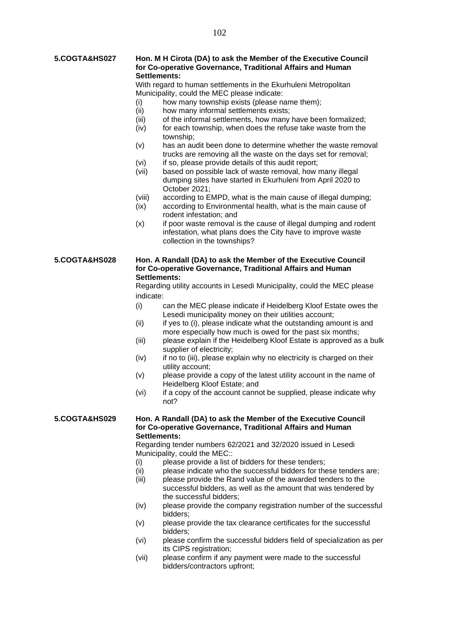#### **5.COGTA&HS027 Hon. M H Cirota (DA) to ask the Member of the Executive Council for Co-operative Governance, Traditional Affairs and Human Settlements:**

With regard to human settlements in the Ekurhuleni Metropolitan Municipality, could the MEC please indicate:

- (i) how many township exists (please name them);
- (ii) how many informal settlements exists;
- (iii) of the informal settlements, how many have been formalized;
- (iv) for each township, when does the refuse take waste from the township;
- (v) has an audit been done to determine whether the waste removal trucks are removing all the waste on the days set for removal;
- (vi) if so, please provide details of this audit report;
- (vii) based on possible lack of waste removal, how many illegal dumping sites have started in Ekurhuleni from April 2020 to October 2021;
- (viii) according to EMPD, what is the main cause of illegal dumping;
- (ix) according to Environmental health, what is the main cause of rodent infestation; and
- (x) if poor waste removal is the cause of illegal dumping and rodent infestation, what plans does the City have to improve waste collection in the townships?

#### **5.COGTA&HS028 Hon. A Randall (DA) to ask the Member of the Executive Council for Co-operative Governance, Traditional Affairs and Human Settlements:**

Regarding utility accounts in Lesedi Municipality, could the MEC please indicate:

- (i) can the MEC please indicate if Heidelberg Kloof Estate owes the Lesedi municipality money on their utilities account;
- (ii) if yes to (i), please indicate what the outstanding amount is and more especially how much is owed for the past six months;
- (iii) please explain if the Heidelberg Kloof Estate is approved as a bulk supplier of electricity;
- (iv) if no to (iii), please explain why no electricity is charged on their utility account;
- (v) please provide a copy of the latest utility account in the name of Heidelberg Kloof Estate; and
- (vi) if a copy of the account cannot be supplied, please indicate why not?

#### **5.COGTA&HS029 Hon. A Randall (DA) to ask the Member of the Executive Council for Co-operative Governance, Traditional Affairs and Human Settlements:**

Regarding tender numbers 62/2021 and 32/2020 issued in Lesedi Municipality, could the MEC::

- (i) please provide a list of bidders for these tenders;
- (ii) please indicate who the successful bidders for these tenders are;
- (iii) please provide the Rand value of the awarded tenders to the successful bidders, as well as the amount that was tendered by the successful bidders;
- (iv) please provide the company registration number of the successful bidders;
- (v) please provide the tax clearance certificates for the successful bidders;
- (vi) please confirm the successful bidders field of specialization as per its CIPS registration;
- (vii) please confirm if any payment were made to the successful bidders/contractors upfront;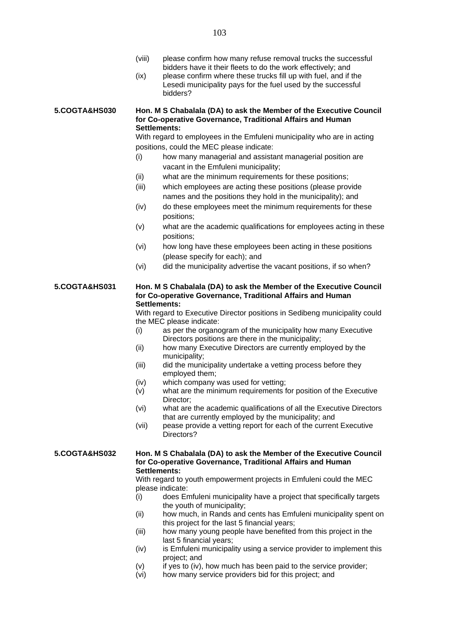|               | (viii)<br>(ix) | please confirm how many refuse removal trucks the successful<br>bidders have it their fleets to do the work effectively; and<br>please confirm where these trucks fill up with fuel, and if the<br>Lesedi municipality pays for the fuel used by the successful<br>bidders? |
|---------------|----------------|-----------------------------------------------------------------------------------------------------------------------------------------------------------------------------------------------------------------------------------------------------------------------------|
| 5.COGTA&HS030 |                | Hon. M S Chabalala (DA) to ask the Member of the Executive Council<br>for Co-operative Governance, Traditional Affairs and Human<br>Settlements:                                                                                                                            |
|               |                | With regard to employees in the Emfuleni municipality who are in acting                                                                                                                                                                                                     |
|               |                | positions, could the MEC please indicate:                                                                                                                                                                                                                                   |
|               | (i)            | how many managerial and assistant managerial position are<br>vacant in the Emfuleni municipality;                                                                                                                                                                           |
|               | (ii)           | what are the minimum requirements for these positions;                                                                                                                                                                                                                      |
|               | (iii)          | which employees are acting these positions (please provide<br>names and the positions they hold in the municipality); and                                                                                                                                                   |
|               | (iv)           | do these employees meet the minimum requirements for these<br>positions;                                                                                                                                                                                                    |
|               | (v)            | what are the academic qualifications for employees acting in these<br>positions;                                                                                                                                                                                            |
|               | (vi)           | how long have these employees been acting in these positions<br>(please specify for each); and                                                                                                                                                                              |
|               | (vi)           | did the municipality advertise the vacant positions, if so when?                                                                                                                                                                                                            |
| 5.COGTA&HS031 |                | Hon. M S Chabalala (DA) to ask the Member of the Executive Council<br>for Co-operative Governance, Traditional Affairs and Human<br>Settlements:                                                                                                                            |
|               |                | With regard to Executive Director positions in Sedibeng municipality could                                                                                                                                                                                                  |
|               |                | the MEC please indicate:                                                                                                                                                                                                                                                    |
|               | (i)            | as per the organogram of the municipality how many Executive<br>Directors positions are there in the municipality;                                                                                                                                                          |
|               | (ii)           | how many Executive Directors are currently employed by the<br>municipality;                                                                                                                                                                                                 |
|               | (iii)          | did the municipality undertake a vetting process before they<br>employed them;                                                                                                                                                                                              |
|               | (iv)           | which company was used for vetting;                                                                                                                                                                                                                                         |
|               | (v)            | what are the minimum requirements for position of the Executive<br>Director:                                                                                                                                                                                                |

- (vi) what are the academic qualifications of all the Executive Directors that are currently employed by the municipality; and
- (vii) pease provide a vetting report for each of the current Executive Directors?

#### **5.COGTA&HS032 Hon. M S Chabalala (DA) to ask the Member of the Executive Council for Co-operative Governance, Traditional Affairs and Human Settlements:**

With regard to youth empowerment projects in Emfuleni could the MEC please indicate:

- (i) does Emfuleni municipality have a project that specifically targets the youth of municipality;
- (ii) how much, in Rands and cents has Emfuleni municipality spent on this project for the last 5 financial years;
- (iii) how many young people have benefited from this project in the last 5 financial years;
- (iv) is Emfuleni municipality using a service provider to implement this project; and
- (v) if yes to (iv), how much has been paid to the service provider;<br>(vi) how many service providers bid for this project; and
- how many service providers bid for this project; and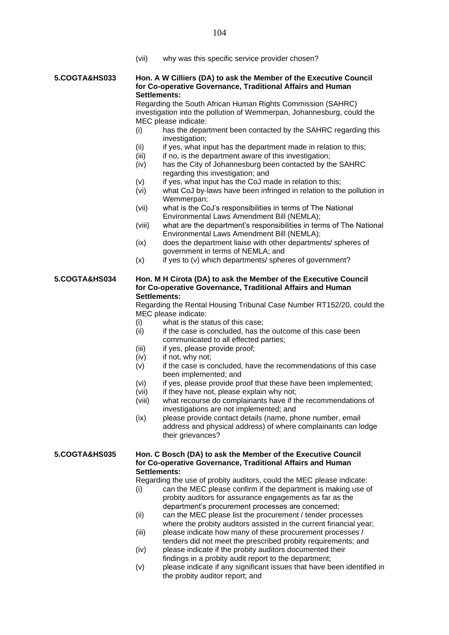(vii) why was this specific service provider chosen?

#### **5.COGTA&HS033 Hon. A W Cilliers (DA) to ask the Member of the Executive Council for Co-operative Governance, Traditional Affairs and Human Settlements:**

Regarding the South African Human Rights Commission (SAHRC) investigation into the pollution of Wemmerpan, Johannesburg, could the MEC please indicate:

- (i) has the department been contacted by the SAHRC regarding this investigation;
- $(ii)$  if yes, what input has the department made in relation to this;
- $(iii)$  if no, is the department aware of this investigation;
- (iv) has the City of Johannesburg been contacted by the SAHRC regarding this investigation; and
- (v) if yes, what input has the CoJ made in relation to this;
- (vi) what CoJ by-laws have been infringed in relation to the pollution in Wemmerpan:
- (vii) what is the CoJ's responsibilities in terms of The National Environmental Laws Amendment Bill (NEMLA);
- (viii) what are the department's responsibilities in terms of The National Environmental Laws Amendment Bill (NEMLA);
- (ix) does the department liaise with other departments/ spheres of government in terms of NEMLA; and
- $(x)$  if yes to  $(v)$  which departments/ spheres of government?

#### **5.COGTA&HS034 Hon. M H Cirota (DA) to ask the Member of the Executive Council for Co-operative Governance, Traditional Affairs and Human Settlements:**

Regarding the Rental Housing Tribunal Case Number RT152/20, could the MEC please indicate:

- (i) what is the status of this case;
- (ii) if the case is concluded, has the outcome of this case been communicated to all effected parties;
- (iii) if yes, please provide proof;
- (iv) if not, why not;
- (v) if the case is concluded, have the recommendations of this case been implemented; and
- (vi) if yes, please provide proof that these have been implemented;
- (vii) if they have not, please explain why not;
- (viii) what recourse do complainants have if the recommendations of investigations are not implemented; and
- (ix) please provide contact details (name, phone number, email address and physical address) of where complainants can lodge their grievances?

#### **5.COGTA&HS035 Hon. C Bosch (DA) to ask the Member of the Executive Council for Co-operative Governance, Traditional Affairs and Human Settlements:**

Regarding the use of probity auditors, could the MEC please indicate:

- (i) can the MEC please confirm if the department is making use of probity auditors for assurance engagements as far as the department's procurement processes are concerned;
- (ii) can the MEC please list the procurement / tender processes where the probity auditors assisted in the current financial year;
- (iii) please indicate how many of these procurement processes / tenders did not meet the prescribed probity requirements; and
- (iv) please indicate if the probity auditors documented their findings in a probity audit report to the department;
- (v) please indicate if any significant issues that have been identified in the probity auditor report; and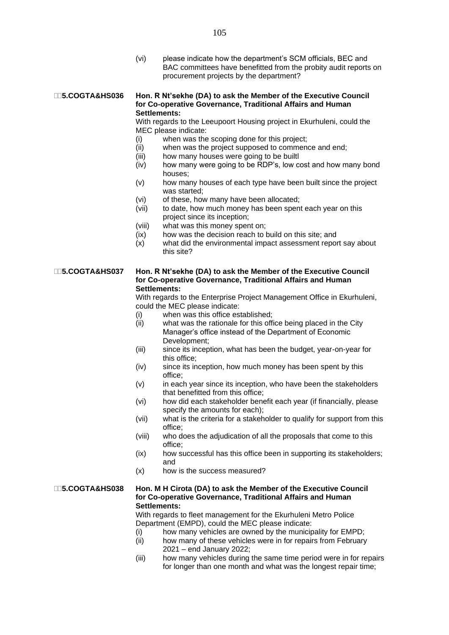(vi) please indicate how the department's SCM officials, BEC and BAC committees have benefitted from the probity audit reports on procurement projects by the department?

#### **5.COGTA&HS036 Hon. R Nt'sekhe (DA) to ask the Member of the Executive Council for Co-operative Governance, Traditional Affairs and Human Settlements:**

With regards to the Leeupoort Housing project in Ekurhuleni, could the MEC please indicate:

- (i) when was the scoping done for this project;
- (ii) when was the project supposed to commence and end;
- (iii) how many houses were going to be builtl
- (iv) how many were going to be RDP's, low cost and how many bond houses;
- (v) how many houses of each type have been built since the project was started;
- (vi) of these, how many have been allocated;
- (vii) to date, how much money has been spent each year on this project since its inception;
- (viii) what was this money spent on;
- (ix) how was the decision reach to build on this site; and
- (x) what did the environmental impact assessment report say about this site?

#### **5.COGTA&HS037 Hon. R Nt'sekhe (DA) to ask the Member of the Executive Council for Co-operative Governance, Traditional Affairs and Human Settlements:**

With regards to the Enterprise Project Management Office in Ekurhuleni, could the MEC please indicate:

- (i) when was this office established;
- (ii) what was the rationale for this office being placed in the City Manager's office instead of the Department of Economic Development;
- (iii) since its inception, what has been the budget, year-on-year for this office;
- (iv) since its inception, how much money has been spent by this office;
- (v) in each year since its inception, who have been the stakeholders that benefitted from this office;
- (vi) how did each stakeholder benefit each year (if financially, please specify the amounts for each);
- (vii) what is the criteria for a stakeholder to qualify for support from this office;
- (viii) who does the adjudication of all the proposals that come to this office;
- (ix) how successful has this office been in supporting its stakeholders; and
- (x) how is the success measured?

#### **5.COGTA&HS038 Hon. M H Cirota (DA) to ask the Member of the Executive Council for Co-operative Governance, Traditional Affairs and Human Settlements:**

With regards to fleet management for the Ekurhuleni Metro Police Department (EMPD), could the MEC please indicate:

- (i) how many vehicles are owned by the municipality for EMPD;
- (ii) how many of these vehicles were in for repairs from February 2021 – end January 2022;
- (iii) how many vehicles during the same time period were in for repairs for longer than one month and what was the longest repair time;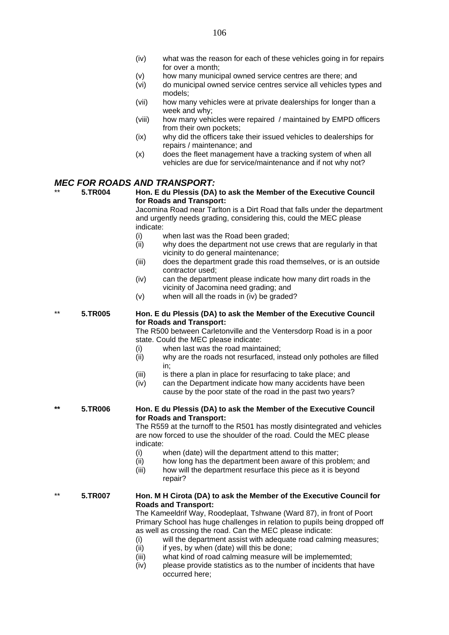- (v) how many municipal owned service centres are there; and
- (vi) do municipal owned service centres service all vehicles types and models;
- (vii) how many vehicles were at private dealerships for longer than a week and why;
- (viii) how many vehicles were repaired / maintained by EMPD officers from their own pockets;
- (ix) why did the officers take their issued vehicles to dealerships for repairs / maintenance; and
- (x) does the fleet management have a tracking system of when all vehicles are due for service/maintenance and if not why not?

#### *MEC FOR ROADS AND TRANSPORT:*

\*\* **5.TR004 Hon. E du Plessis (DA) to ask the Member of the Executive Council for Roads and Transport:**

Jacomina Road near Tarlton is a Dirt Road that falls under the department and urgently needs grading, considering this, could the MEC please indicate:

- (i) when last was the Road been graded;<br>(ii) why does the department not use crew
- why does the department not use crews that are regularly in that vicinity to do general maintenance;
- (iii) does the department grade this road themselves, or is an outside contractor used;
- (iv) can the department please indicate how many dirt roads in the vicinity of Jacomina need grading; and
- (v) when will all the roads in (iv) be graded?

#### \*\* **5.TR005 Hon. E du Plessis (DA) to ask the Member of the Executive Council for Roads and Transport:**

The R500 between Carletonville and the Ventersdorp Road is in a poor state. Could the MEC please indicate:

- (i) when last was the road maintained;
- (ii) why are the roads not resurfaced, instead only potholes are filled in;
- (iii) is there a plan in place for resurfacing to take place; and
- (iv) can the Department indicate how many accidents have been cause by the poor state of the road in the past two years?

#### **\*\* 5.TR006 Hon. E du Plessis (DA) to ask the Member of the Executive Council for Roads and Transport:**

The R559 at the turnoff to the R501 has mostly disintegrated and vehicles are now forced to use the shoulder of the road. Could the MEC please indicate:

- (i) when (date) will the department attend to this matter;
- (ii) how long has the department been aware of this problem; and
- (iii) how will the department resurface this piece as it is beyond repair?

#### \*\* **5.TR007 Hon. M H Cirota (DA) to ask the Member of the Executive Council for Roads and Transport:**

The Kameeldrif Way, Roodeplaat, Tshwane (Ward 87), in front of Poort Primary School has huge challenges in relation to pupils being dropped off as well as crossing the road. Can the MEC please indicate:

- (i) will the department assist with adequate road calming measures;
- $(ii)$  if yes, by when (date) will this be done;
- (iii) what kind of road calming measure will be implememted;
- (iv) please provide statistics as to the number of incidents that have occurred here;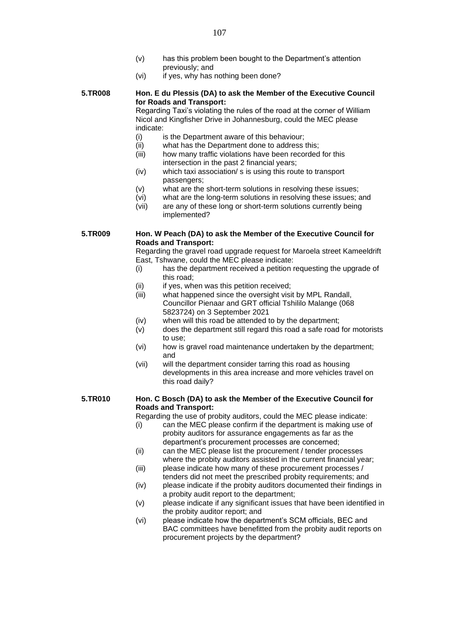- (v) has this problem been bought to the Department's attention previously; and
- (vi) if yes, why has nothing been done?

#### **5.TR008 Hon. E du Plessis (DA) to ask the Member of the Executive Council for Roads and Transport:**

Regarding Taxi's violating the rules of the road at the corner of William Nicol and Kingfisher Drive in Johannesburg, could the MEC please indicate:

- (i) is the Department aware of this behaviour;
- (ii) what has the Department done to address this;
- (iii) how many traffic violations have been recorded for this intersection in the past 2 financial years;
- (iv) which taxi association/ s is using this route to transport passengers;
- (v) what are the short-term solutions in resolving these issues;
- (vi) what are the long-term solutions in resolving these issues; and
- (vii) are any of these long or short-term solutions currently being implemented?

#### **5.TR009 Hon. W Peach (DA) to ask the Member of the Executive Council for Roads and Transport:**

Regarding the gravel road upgrade request for Maroela street Kameeldrift East, Tshwane, could the MEC please indicate:

- (i) has the department received a petition requesting the upgrade of this road;
- (ii) if yes, when was this petition received;
- (iii) what happened since the oversight visit by MPL Randall, Councillor Pienaar and GRT official Tshililo Malange (068 5823724) on 3 September 2021
- (iv) when will this road be attended to by the department;
- (v) does the department still regard this road a safe road for motorists to use;
- (vi) how is gravel road maintenance undertaken by the department; and
- (vii) will the department consider tarring this road as housing developments in this area increase and more vehicles travel on this road daily?

#### **5.TR010 Hon. C Bosch (DA) to ask the Member of the Executive Council for Roads and Transport:**

Regarding the use of probity auditors, could the MEC please indicate:

- (i) can the MEC please confirm if the department is making use of probity auditors for assurance engagements as far as the department's procurement processes are concerned;
- (ii) can the MEC please list the procurement / tender processes where the probity auditors assisted in the current financial year;
- (iii) please indicate how many of these procurement processes / tenders did not meet the prescribed probity requirements; and
- (iv) please indicate if the probity auditors documented their findings in a probity audit report to the department;
- (v) please indicate if any significant issues that have been identified in the probity auditor report; and
- (vi) please indicate how the department's SCM officials, BEC and BAC committees have benefitted from the probity audit reports on procurement projects by the department?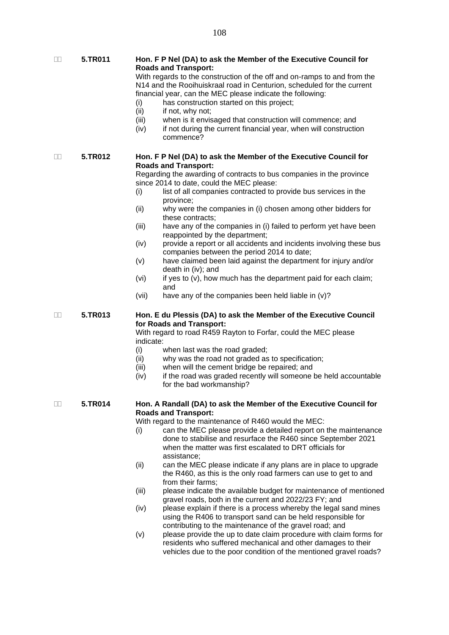**5.TR011 Hon. F P Nel (DA) to ask the Member of the Executive Council for Roads and Transport:**

> With regards to the construction of the off and on-ramps to and from the N14 and the Rooihuiskraal road in Centurion, scheduled for the current financial year, can the MEC please indicate the following:

- (i) has construction started on this project;<br>(ii) if not, why not;
- if not, why not;
- (iii) when is it envisaged that construction will commence; and
- (iv) if not during the current financial year, when will construction commence?

 **5.TR012 Hon. F P Nel (DA) to ask the Member of the Executive Council for Roads and Transport:**

> Regarding the awarding of contracts to bus companies in the province since 2014 to date, could the MEC please:

- (i) list of all companies contracted to provide bus services in the province;
- (ii) why were the companies in (i) chosen among other bidders for these contracts;
- (iii) have any of the companies in (i) failed to perform yet have been reappointed by the department;
- (iv) provide a report or all accidents and incidents involving these bus companies between the period 2014 to date;
- (v) have claimed been laid against the department for injury and/or death in (iv); and
- (vi) if yes to  $(v)$ , how much has the department paid for each claim; and
- (vii) have any of the companies been held liable in (v)?

#### **5.TR013 Hon. E du Plessis (DA) to ask the Member of the Executive Council for Roads and Transport:**

With regard to road R459 Rayton to Forfar, could the MEC please indicate:

- (i) when last was the road graded;
- (ii) why was the road not graded as to specification;
- (iii) when will the cement bridge be repaired; and
- (iv) if the road was graded recently will someone be held accountable for the bad workmanship?

#### **5.TR014 Hon. A Randall (DA) to ask the Member of the Executive Council for Roads and Transport:**

With regard to the maintenance of R460 would the MEC:

- (i) can the MEC please provide a detailed report on the maintenance done to stabilise and resurface the R460 since September 2021 when the matter was first escalated to DRT officials for assistance;
- (ii) can the MEC please indicate if any plans are in place to upgrade the R460, as this is the only road farmers can use to get to and from their farms;
- (iii) please indicate the available budget for maintenance of mentioned gravel roads, both in the current and 2022/23 FY; and
- (iv) please explain if there is a process whereby the legal sand mines using the R406 to transport sand can be held responsible for contributing to the maintenance of the gravel road; and
- (v) please provide the up to date claim procedure with claim forms for residents who suffered mechanical and other damages to their vehicles due to the poor condition of the mentioned gravel roads?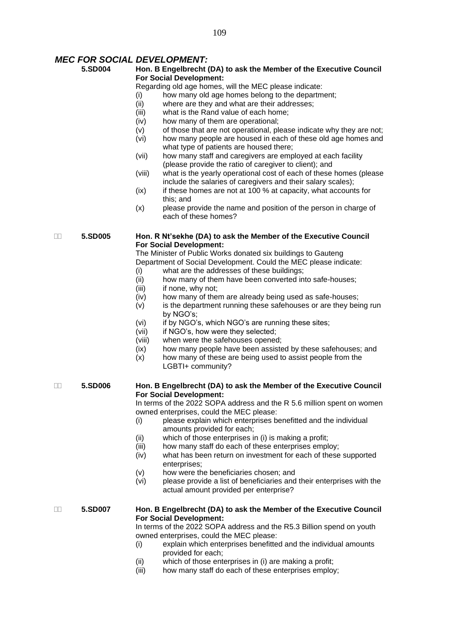#### *MEC FOR SOCIAL DEVELOPMENT:*

#### **5.SD004 Hon. B Engelbrecht (DA) to ask the Member of the Executive Council For Social Development:**

Regarding old age homes, will the MEC please indicate:

- (i) how many old age homes belong to the department;
- (ii) where are they and what are their addresses;
- (iii) what is the Rand value of each home;
- (iv) how many of them are operational;
- $(v)$  of those that are not operational, please indicate why they are not;
- (vi) how many people are housed in each of these old age homes and what type of patients are housed there;
- (vii) how many staff and caregivers are employed at each facility (please provide the ratio of caregiver to client); and
- (viii) what is the yearly operational cost of each of these homes (please include the salaries of caregivers and their salary scales);
- $(ix)$  if these homes are not at 100 % at capacity, what accounts for this; and
- (x) please provide the name and position of the person in charge of each of these homes?

#### **5.SD005 Hon. R Nt'sekhe (DA) to ask the Member of the Executive Council For Social Development:**

The Minister of Public Works donated six buildings to Gauteng Department of Social Development. Could the MEC please indicate:

- (i) what are the addresses of these buildings;
- (ii) how many of them have been converted into safe-houses;
- (iii) if none, why not:
- (iv) how many of them are already being used as safe-houses;
- (v) is the department running these safehouses or are they being run by NGO's;
- (vi) if by NGO's, which NGO's are running these sites;
- (vii) if NGO's, how were they selected;
- (viii) when were the safehouses opened;
- (ix) how many people have been assisted by these safehouses; and
- (x) how many of these are being used to assist people from the LGBTI+ community?

#### **5.SD006 Hon. B Engelbrecht (DA) to ask the Member of the Executive Council For Social Development:**

In terms of the 2022 SOPA address and the R 5.6 million spent on women owned enterprises, could the MEC please:

- (i) please explain which enterprises benefitted and the individual amounts provided for each;
- (ii) which of those enterprises in (i) is making a profit;
- (iii) how many staff do each of these enterprises employ;
- (iv) what has been return on investment for each of these supported enterprises;
- (v) how were the beneficiaries chosen; and
- (vi) please provide a list of beneficiaries and their enterprises with the actual amount provided per enterprise?

#### **5.SD007 Hon. B Engelbrecht (DA) to ask the Member of the Executive Council For Social Development:**

In terms of the 2022 SOPA address and the R5.3 Billion spend on youth owned enterprises, could the MEC please:

- (i) explain which enterprises benefitted and the individual amounts provided for each;
- (ii) which of those enterprises in (i) are making a profit;
- (iii) how many staff do each of these enterprises employ;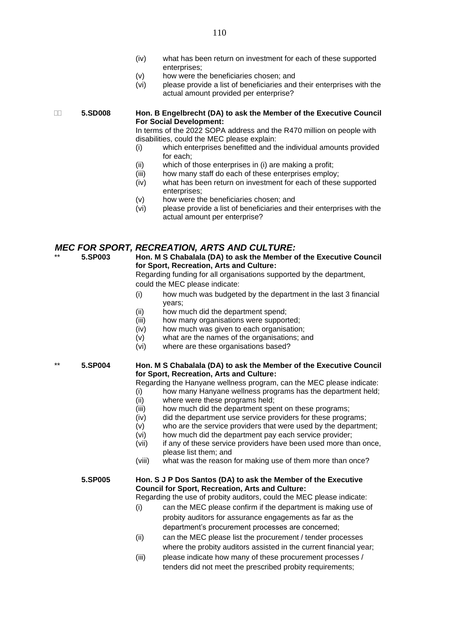- (iv) what has been return on investment for each of these supported enterprises;
- (v) how were the beneficiaries chosen; and
- (vi) please provide a list of beneficiaries and their enterprises with the actual amount provided per enterprise?

#### **5.SD008 Hon. B Engelbrecht (DA) to ask the Member of the Executive Council For Social Development:**

In terms of the 2022 SOPA address and the R470 million on people with disabilities, could the MEC please explain:

- (i) which enterprises benefitted and the individual amounts provided for each;
- (ii) which of those enterprises in (i) are making a profit;
- (iii) how many staff do each of these enterprises employ;
- (iv) what has been return on investment for each of these supported enterprises;
- (v) how were the beneficiaries chosen; and
- (vi) please provide a list of beneficiaries and their enterprises with the actual amount per enterprise?

### *MEC FOR SPORT, RECREATION, ARTS AND CULTURE:*

#### **Hon. M S Chabalala (DA) to ask the Member of the Executive Council for Sport, Recreation, Arts and Culture:**

Regarding funding for all organisations supported by the department, could the MEC please indicate:

- (i) how much was budgeted by the department in the last 3 financial years;
- (ii) how much did the department spend;
- (iii) how many organisations were supported;
- (iv) how much was given to each organisation;
- (v) what are the names of the organisations; and
- (vi) where are these organisations based?

#### \*\* **5.SP004 Hon. M S Chabalala (DA) to ask the Member of the Executive Council for Sport, Recreation, Arts and Culture:**

Regarding the Hanyane wellness program, can the MEC please indicate:

- (i) how many Hanyane wellness programs has the department held;
- (ii) where were these programs held;
- (iii) how much did the department spent on these programs;
- $(iv)$  did the department use service providers for these programs;
- (v) who are the service providers that were used by the department;
- (vi) how much did the department pay each service provider;
- (vii) if any of these service providers have been used more than once, please list them; and
- (viii) what was the reason for making use of them more than once?

#### **5.SP005 Hon. S J P Dos Santos (DA) to ask the Member of the Executive Council for Sport, Recreation, Arts and Culture:**

Regarding the use of probity auditors, could the MEC please indicate:

- (i) can the MEC please confirm if the department is making use of probity auditors for assurance engagements as far as the department's procurement processes are concerned;
- (ii) can the MEC please list the procurement / tender processes where the probity auditors assisted in the current financial year;
- (iii) please indicate how many of these procurement processes / tenders did not meet the prescribed probity requirements;